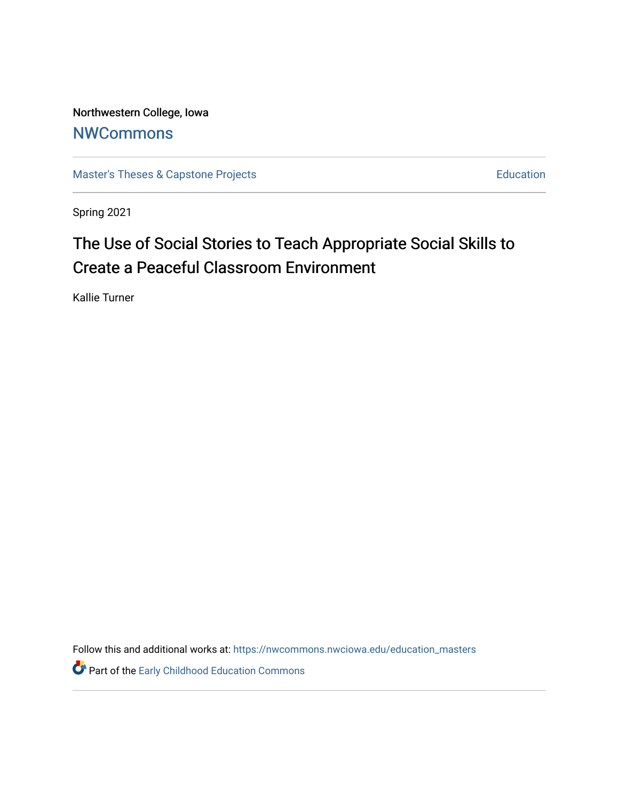Northwestern College, Iowa **[NWCommons](https://nwcommons.nwciowa.edu/)** 

[Master's Theses & Capstone Projects](https://nwcommons.nwciowa.edu/education_masters) **Education** Education

Spring 2021

# The Use of Social Stories to Teach Appropriate Social Skills to Create a Peaceful Classroom Environment

Kallie Turner

Follow this and additional works at: [https://nwcommons.nwciowa.edu/education\\_masters](https://nwcommons.nwciowa.edu/education_masters?utm_source=nwcommons.nwciowa.edu%2Feducation_masters%2F310&utm_medium=PDF&utm_campaign=PDFCoverPages)

Part of the [Early Childhood Education Commons](http://network.bepress.com/hgg/discipline/1377?utm_source=nwcommons.nwciowa.edu%2Feducation_masters%2F310&utm_medium=PDF&utm_campaign=PDFCoverPages)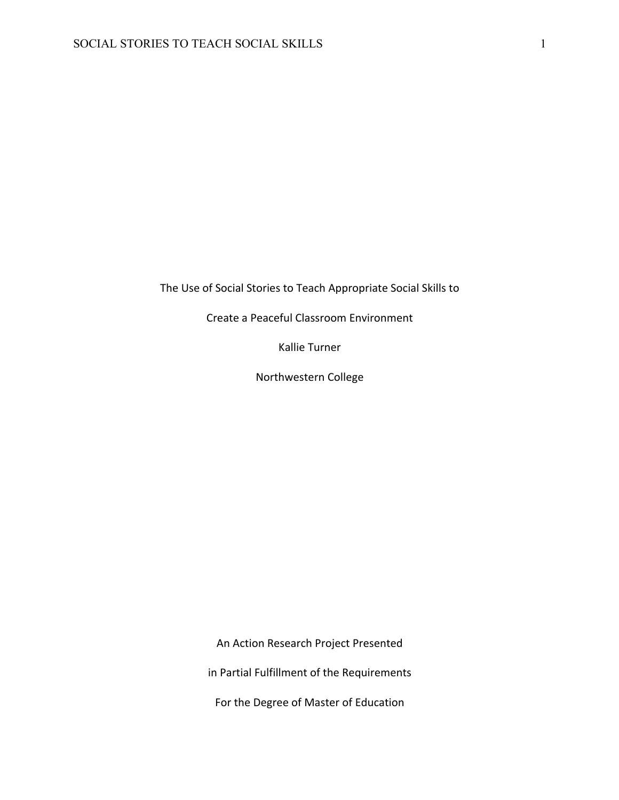The Use of Social Stories to Teach Appropriate Social Skills to

Create a Peaceful Classroom Environment

Kallie Turner

Northwestern College

An Action Research Project Presented

in Partial Fulfillment of the Requirements

For the Degree of Master of Education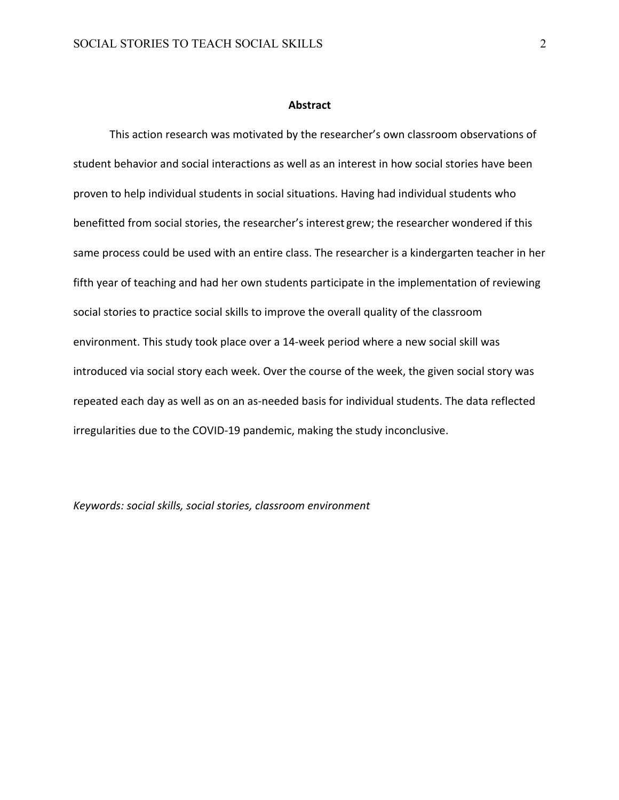#### **Abstract**

This action research was motivated by the researcher's own classroom observations of student behavior and social interactions as well as an interest in how social stories have been proven to help individual students in social situations. Having had individual students who benefitted from social stories, the researcher's interest grew; the researcher wondered if this same process could be used with an entire class. The researcher is a kindergarten teacher in her fifth year of teaching and had her own students participate in the implementation of reviewing social stories to practice social skills to improve the overall quality of the classroom environment. This study took place over a 14-week period where a new social skill was introduced via social story each week. Over the course of the week, the given social story was repeated each day as well as on an as-needed basis for individual students. The data reflected irregularities due to the COVID-19 pandemic, making the study inconclusive.

*Keywords: social skills, social stories, classroom environment*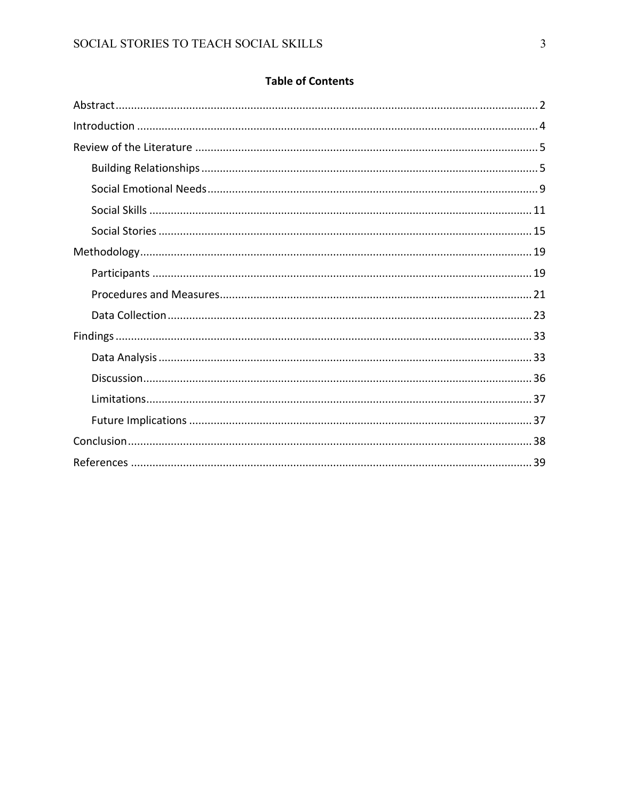# **Table of Contents**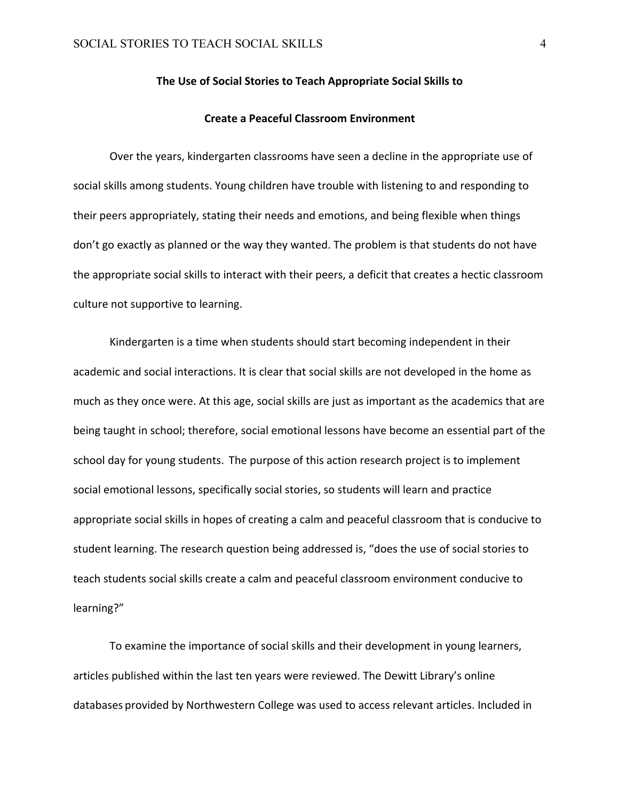#### **The Use of Social Stories to Teach Appropriate Social Skills to**

#### **Create a Peaceful Classroom Environment**

Over the years, kindergarten classrooms have seen a decline in the appropriate use of social skills among students. Young children have trouble with listening to and responding to their peers appropriately, stating their needs and emotions, and being flexible when things don't go exactly as planned or the way they wanted. The problem is that students do not have the appropriate social skills to interact with their peers, a deficit that creates a hectic classroom culture not supportive to learning.

Kindergarten is a time when students should start becoming independent in their academic and social interactions. It is clear that social skills are not developed in the home as much as they once were. At this age, social skills are just as important as the academics that are being taught in school; therefore, social emotional lessons have become an essential part of the school day for young students. The purpose of this action research project is to implement social emotional lessons, specifically social stories, so students will learn and practice appropriate social skills in hopes of creating a calm and peaceful classroom that is conducive to student learning. The research question being addressed is, "does the use of social stories to teach students social skills create a calm and peaceful classroom environment conducive to learning?"

To examine the importance of social skills and their development in young learners, articles published within the last ten years were reviewed. The Dewitt Library's online databases provided by Northwestern College was used to access relevant articles. Included in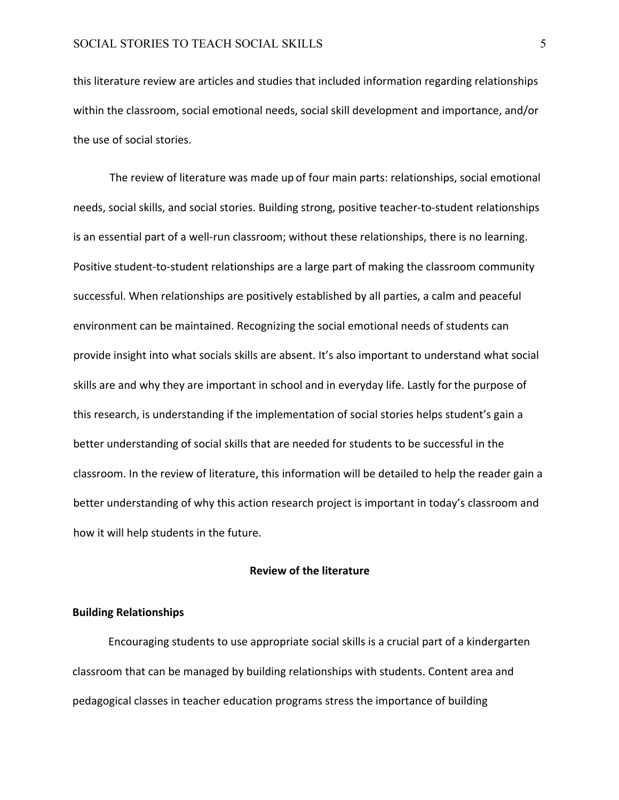this literature review are articles and studies that included information regarding relationships within the classroom, social emotional needs, social skill development and importance, and/or the use of social stories.

The review of literature was made up of four main parts: relationships, social emotional needs, social skills, and social stories. Building strong, positive teacher-to-student relationships is an essential part of a well-run classroom; without these relationships, there is no learning. Positive student-to-student relationships are a large part of making the classroom community successful. When relationships are positively established by all parties, a calm and peaceful environment can be maintained. Recognizing the social emotional needs of students can provide insight into what socials skills are absent. It's also important to understand what social skills are and why they are important in school and in everyday life. Lastly forthe purpose of this research, is understanding if the implementation of social stories helps student's gain a better understanding of social skills that are needed for students to be successful in the classroom. In the review of literature, this information will be detailed to help the reader gain a better understanding of why this action research project is important in today's classroom and how it will help students in the future.

#### **Review of the literature**

#### **Building Relationships**

Encouraging students to use appropriate social skills is a crucial part of a kindergarten classroom that can be managed by building relationships with students. Content area and pedagogical classes in teacher education programs stress the importance of building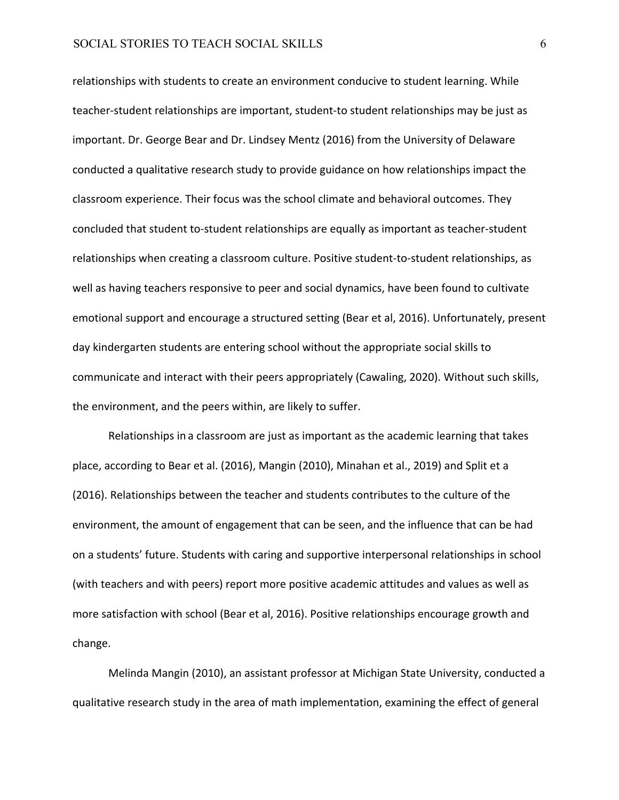relationships with students to create an environment conducive to student learning. While teacher-student relationships are important, student-to student relationships may be just as important. Dr. George Bear and Dr. Lindsey Mentz (2016) from the University of Delaware conducted a qualitative research study to provide guidance on how relationships impact the classroom experience. Their focus was the school climate and behavioral outcomes. They concluded that student to-student relationships are equally as important as teacher-student relationships when creating a classroom culture. Positive student-to-student relationships, as well as having teachers responsive to peer and social dynamics, have been found to cultivate emotional support and encourage a structured setting (Bear et al, 2016). Unfortunately, present day kindergarten students are entering school without the appropriate social skills to communicate and interact with their peers appropriately (Cawaling, 2020). Without such skills, the environment, and the peers within, are likely to suffer.

Relationships in a classroom are just as important as the academic learning that takes place, according to Bear et al. (2016), Mangin (2010), Minahan et al., 2019) and Split et a (2016). Relationships between the teacher and students contributes to the culture of the environment, the amount of engagement that can be seen, and the influence that can be had on a students' future. Students with caring and supportive interpersonal relationships in school (with teachers and with peers) report more positive academic attitudes and values as well as more satisfaction with school (Bear et al, 2016). Positive relationships encourage growth and change.

Melinda Mangin (2010), an assistant professor at Michigan State University, conducted a qualitative research study in the area of math implementation, examining the effect of general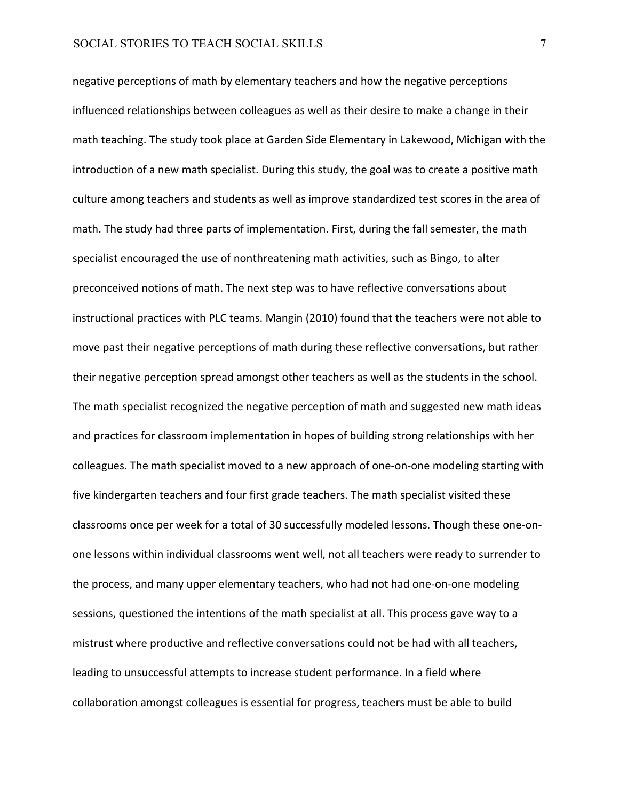negative perceptions of math by elementary teachers and how the negative perceptions influenced relationships between colleagues as well as their desire to make a change in their math teaching. The study took place at Garden Side Elementary in Lakewood, Michigan with the introduction of a new math specialist. During this study, the goal was to create a positive math culture among teachers and students as well as improve standardized test scores in the area of math. The study had three parts of implementation. First, during the fall semester, the math specialist encouraged the use of nonthreatening math activities, such as Bingo, to alter preconceived notions of math. The next step was to have reflective conversations about instructional practices with PLC teams. Mangin (2010) found that the teachers were not able to move past their negative perceptions of math during these reflective conversations, but rather their negative perception spread amongst other teachers as well as the students in the school. The math specialist recognized the negative perception of math and suggested new math ideas and practices for classroom implementation in hopes of building strong relationships with her colleagues. The math specialist moved to a new approach of one-on-one modeling starting with five kindergarten teachers and four first grade teachers. The math specialist visited these classrooms once per week for a total of 30 successfully modeled lessons. Though these one-onone lessons within individual classrooms went well, not all teachers were ready to surrender to the process, and many upper elementary teachers, who had not had one-on-one modeling sessions, questioned the intentions of the math specialist at all. This process gave way to a mistrust where productive and reflective conversations could not be had with all teachers, leading to unsuccessful attempts to increase student performance. In a field where collaboration amongst colleagues is essential for progress, teachers must be able to build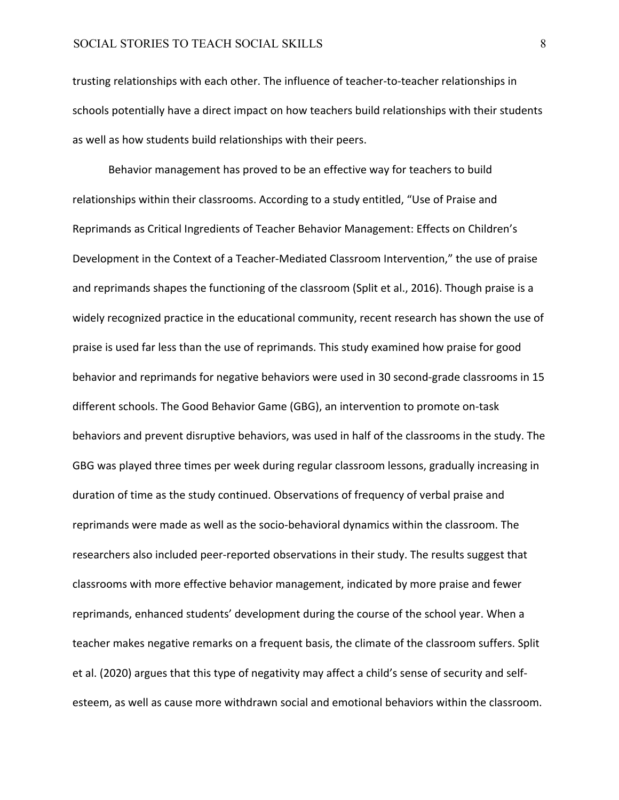trusting relationships with each other. The influence of teacher-to-teacher relationships in schools potentially have a direct impact on how teachers build relationships with their students as well as how students build relationships with their peers.

Behavior management has proved to be an effective way for teachers to build relationships within their classrooms. According to a study entitled, "Use of Praise and Reprimands as Critical Ingredients of Teacher Behavior Management: Effects on Children's Development in the Context of a Teacher-Mediated Classroom Intervention," the use of praise and reprimands shapes the functioning of the classroom (Split et al., 2016). Though praise is a widely recognized practice in the educational community, recent research has shown the use of praise is used far less than the use of reprimands. This study examined how praise for good behavior and reprimands for negative behaviors were used in 30 second-grade classrooms in 15 different schools. The Good Behavior Game (GBG), an intervention to promote on-task behaviors and prevent disruptive behaviors, was used in half of the classrooms in the study. The GBG was played three times per week during regular classroom lessons, gradually increasing in duration of time as the study continued. Observations of frequency of verbal praise and reprimands were made as well as the socio-behavioral dynamics within the classroom. The researchers also included peer-reported observations in their study. The results suggest that classrooms with more effective behavior management, indicated by more praise and fewer reprimands, enhanced students' development during the course of the school year. When a teacher makes negative remarks on a frequent basis, the climate of the classroom suffers. Split et al. (2020) argues that this type of negativity may affect a child's sense of security and selfesteem, as well as cause more withdrawn social and emotional behaviors within the classroom.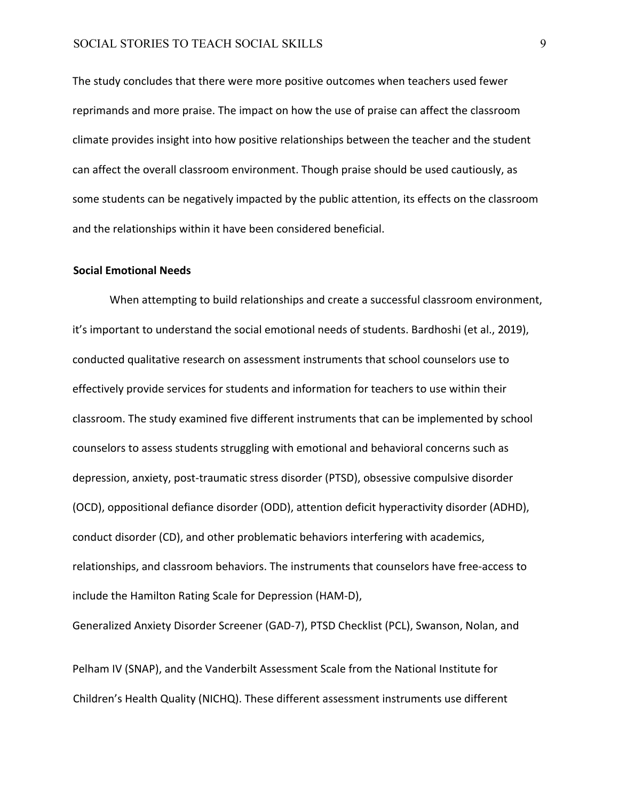The study concludes that there were more positive outcomes when teachers used fewer reprimands and more praise. The impact on how the use of praise can affect the classroom climate provides insight into how positive relationships between the teacher and the student can affect the overall classroom environment. Though praise should be used cautiously, as some students can be negatively impacted by the public attention, its effects on the classroom and the relationships within it have been considered beneficial.

#### **Social Emotional Needs**

When attempting to build relationships and create a successful classroom environment, it's important to understand the social emotional needs of students. Bardhoshi (et al., 2019), conducted qualitative research on assessment instruments that school counselors use to effectively provide services for students and information for teachers to use within their classroom. The study examined five different instruments that can be implemented by school counselors to assess students struggling with emotional and behavioral concerns such as depression, anxiety, post-traumatic stress disorder (PTSD), obsessive compulsive disorder (OCD), oppositional defiance disorder (ODD), attention deficit hyperactivity disorder (ADHD), conduct disorder (CD), and other problematic behaviors interfering with academics, relationships, and classroom behaviors. The instruments that counselors have free-access to include the Hamilton Rating Scale for Depression (HAM-D),

Generalized Anxiety Disorder Screener (GAD-7), PTSD Checklist (PCL), Swanson, Nolan, and

Pelham IV (SNAP), and the Vanderbilt Assessment Scale from the National Institute for Children's Health Quality (NICHQ). These different assessment instruments use different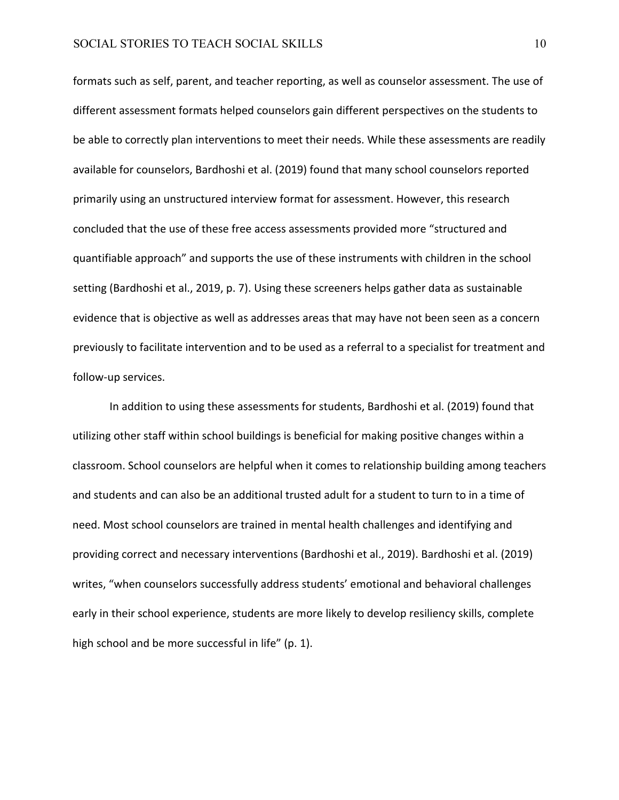formats such as self, parent, and teacher reporting, as well as counselor assessment. The use of different assessment formats helped counselors gain different perspectives on the students to be able to correctly plan interventions to meet their needs. While these assessments are readily available for counselors, Bardhoshi et al. (2019) found that many school counselors reported primarily using an unstructured interview format for assessment. However, this research concluded that the use of these free access assessments provided more "structured and quantifiable approach" and supports the use of these instruments with children in the school setting (Bardhoshi et al., 2019, p. 7). Using these screeners helps gather data as sustainable evidence that is objective as well as addresses areas that may have not been seen as a concern previously to facilitate intervention and to be used as a referral to a specialist for treatment and follow-up services.

In addition to using these assessments for students, Bardhoshi et al. (2019) found that utilizing other staff within school buildings is beneficial for making positive changes within a classroom. School counselors are helpful when it comes to relationship building among teachers and students and can also be an additional trusted adult for a student to turn to in a time of need. Most school counselors are trained in mental health challenges and identifying and providing correct and necessary interventions (Bardhoshi et al., 2019). Bardhoshi et al. (2019) writes, "when counselors successfully address students' emotional and behavioral challenges early in their school experience, students are more likely to develop resiliency skills, complete high school and be more successful in life" (p. 1).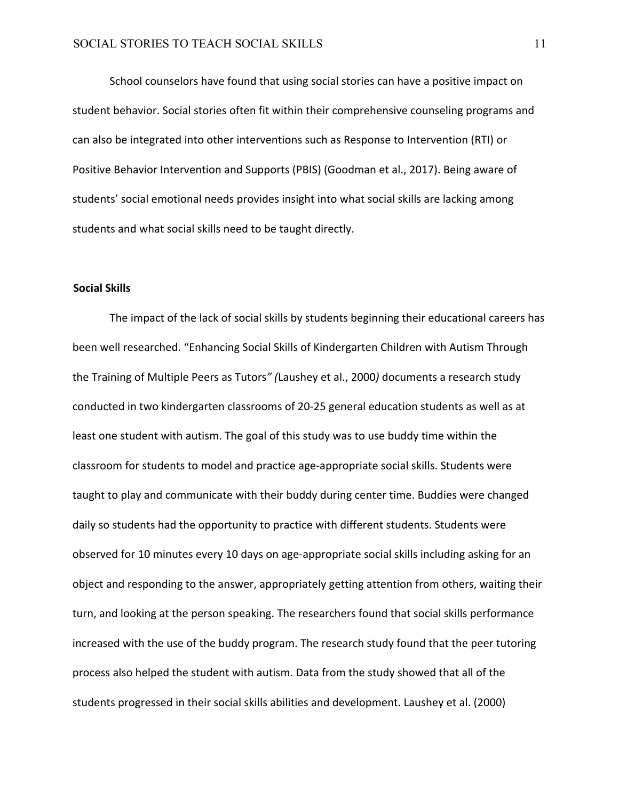School counselors have found that using social stories can have a positive impact on student behavior. Social stories often fit within their comprehensive counseling programs and can also be integrated into other interventions such as Response to Intervention (RTI) or Positive Behavior Intervention and Supports (PBIS) (Goodman et al., 2017). Being aware of students' social emotional needs provides insight into what social skills are lacking among students and what social skills need to be taught directly.

#### **Social Skills**

The impact of the lack of social skills by students beginning their educational careers has been well researched. "Enhancing Social Skills of Kindergarten Children with Autism Through the Training of Multiple Peers as Tutors*" (*Laushey et al., 2000*)* documents a research study conducted in two kindergarten classrooms of 20-25 general education students as well as at least one student with autism. The goal of this study was to use buddy time within the classroom for students to model and practice age-appropriate social skills. Students were taught to play and communicate with their buddy during center time. Buddies were changed daily so students had the opportunity to practice with different students. Students were observed for 10 minutes every 10 days on age-appropriate social skills including asking for an object and responding to the answer, appropriately getting attention from others, waiting their turn, and looking at the person speaking. The researchers found that social skills performance increased with the use of the buddy program. The research study found that the peer tutoring process also helped the student with autism. Data from the study showed that all of the students progressed in their social skills abilities and development. Laushey et al. (2000)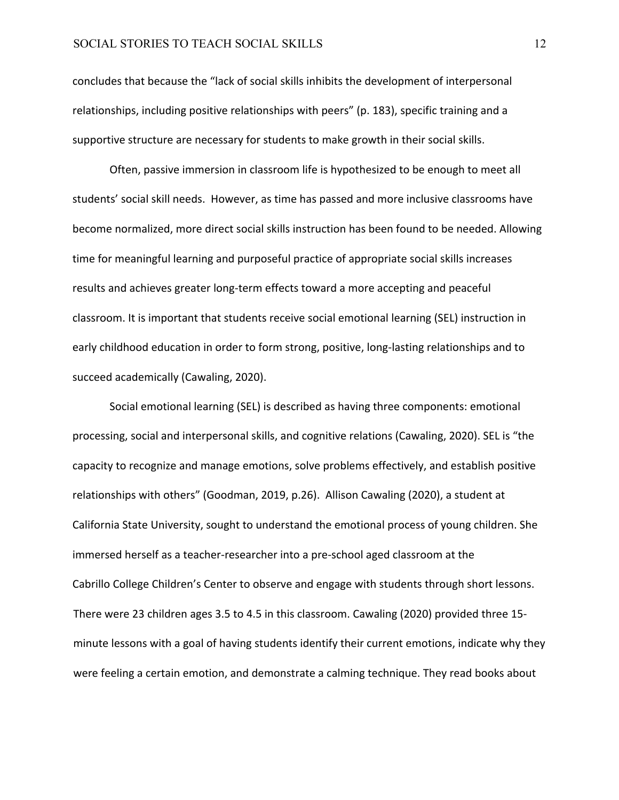concludes that because the "lack of social skills inhibits the development of interpersonal relationships, including positive relationships with peers" (p. 183), specific training and a supportive structure are necessary for students to make growth in their social skills.

Often, passive immersion in classroom life is hypothesized to be enough to meet all students' social skill needs. However, as time has passed and more inclusive classrooms have become normalized, more direct social skills instruction has been found to be needed. Allowing time for meaningful learning and purposeful practice of appropriate social skills increases results and achieves greater long-term effects toward a more accepting and peaceful classroom. It is important that students receive social emotional learning (SEL) instruction in early childhood education in order to form strong, positive, long-lasting relationships and to succeed academically (Cawaling, 2020).

Social emotional learning (SEL) is described as having three components: emotional processing, social and interpersonal skills, and cognitive relations (Cawaling, 2020). SEL is "the capacity to recognize and manage emotions, solve problems effectively, and establish positive relationships with others" (Goodman, 2019, p.26). Allison Cawaling (2020), a student at California State University, sought to understand the emotional process of young children. She immersed herself as a teacher-researcher into a pre-school aged classroom at the Cabrillo College Children's Center to observe and engage with students through short lessons. There were 23 children ages 3.5 to 4.5 in this classroom. Cawaling (2020) provided three 15 minute lessons with a goal of having students identify their current emotions, indicate why they were feeling a certain emotion, and demonstrate a calming technique. They read books about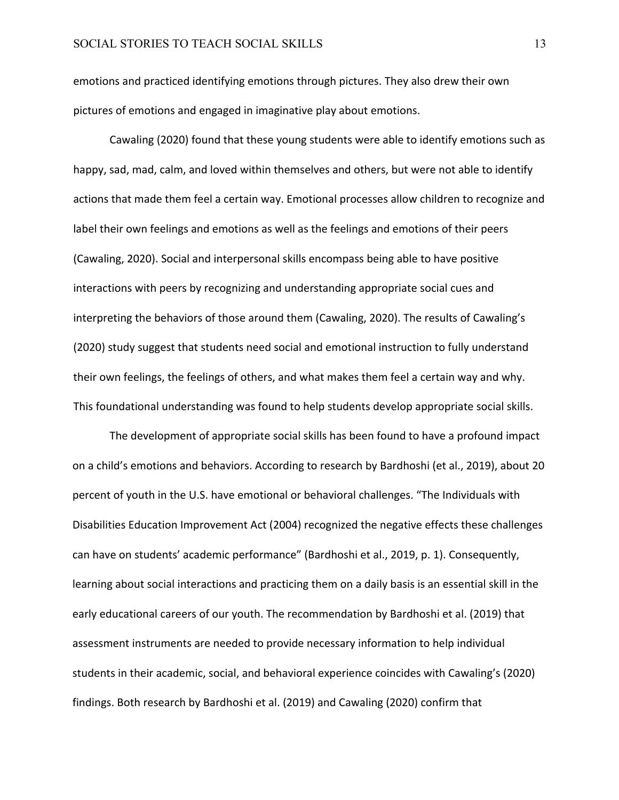emotions and practiced identifying emotions through pictures. They also drew their own pictures of emotions and engaged in imaginative play about emotions.

Cawaling (2020) found that these young students were able to identify emotions such as happy, sad, mad, calm, and loved within themselves and others, but were not able to identify actions that made them feel a certain way. Emotional processes allow children to recognize and label their own feelings and emotions as well as the feelings and emotions of their peers (Cawaling, 2020). Social and interpersonal skills encompass being able to have positive interactions with peers by recognizing and understanding appropriate social cues and interpreting the behaviors of those around them (Cawaling, 2020). The results of Cawaling's (2020) study suggest that students need social and emotional instruction to fully understand their own feelings, the feelings of others, and what makes them feel a certain way and why. This foundational understanding was found to help students develop appropriate social skills.

The development of appropriate social skills has been found to have a profound impact on a child's emotions and behaviors. According to research by Bardhoshi (et al., 2019), about 20 percent of youth in the U.S. have emotional or behavioral challenges. "The Individuals with Disabilities Education Improvement Act (2004) recognized the negative effects these challenges can have on students' academic performance" (Bardhoshi et al., 2019, p. 1). Consequently, learning about social interactions and practicing them on a daily basis is an essential skill in the early educational careers of our youth. The recommendation by Bardhoshi et al. (2019) that assessment instruments are needed to provide necessary information to help individual students in their academic, social, and behavioral experience coincides with Cawaling's (2020) findings. Both research by Bardhoshi et al. (2019) and Cawaling (2020) confirm that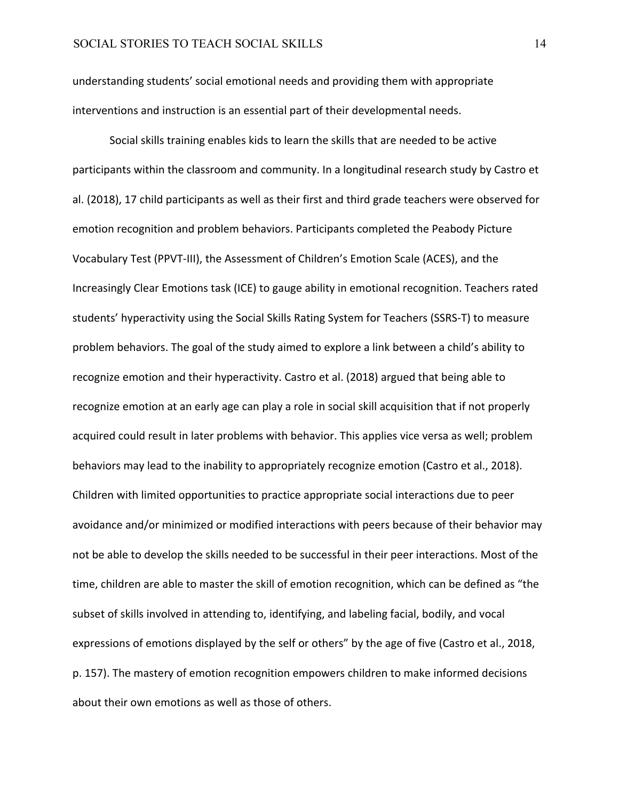understanding students' social emotional needs and providing them with appropriate interventions and instruction is an essential part of their developmental needs.

Social skills training enables kids to learn the skills that are needed to be active participants within the classroom and community. In a longitudinal research study by Castro et al. (2018), 17 child participants as well as their first and third grade teachers were observed for emotion recognition and problem behaviors. Participants completed the Peabody Picture Vocabulary Test (PPVT-III), the Assessment of Children's Emotion Scale (ACES), and the Increasingly Clear Emotions task (ICE) to gauge ability in emotional recognition. Teachers rated students' hyperactivity using the Social Skills Rating System for Teachers (SSRS-T) to measure problem behaviors. The goal of the study aimed to explore a link between a child's ability to recognize emotion and their hyperactivity. Castro et al. (2018) argued that being able to recognize emotion at an early age can play a role in social skill acquisition that if not properly acquired could result in later problems with behavior. This applies vice versa as well; problem behaviors may lead to the inability to appropriately recognize emotion (Castro et al., 2018). Children with limited opportunities to practice appropriate social interactions due to peer avoidance and/or minimized or modified interactions with peers because of their behavior may not be able to develop the skills needed to be successful in their peer interactions. Most of the time, children are able to master the skill of emotion recognition, which can be defined as "the subset of skills involved in attending to, identifying, and labeling facial, bodily, and vocal expressions of emotions displayed by the self or others" by the age of five (Castro et al., 2018, p. 157). The mastery of emotion recognition empowers children to make informed decisions about their own emotions as well as those of others.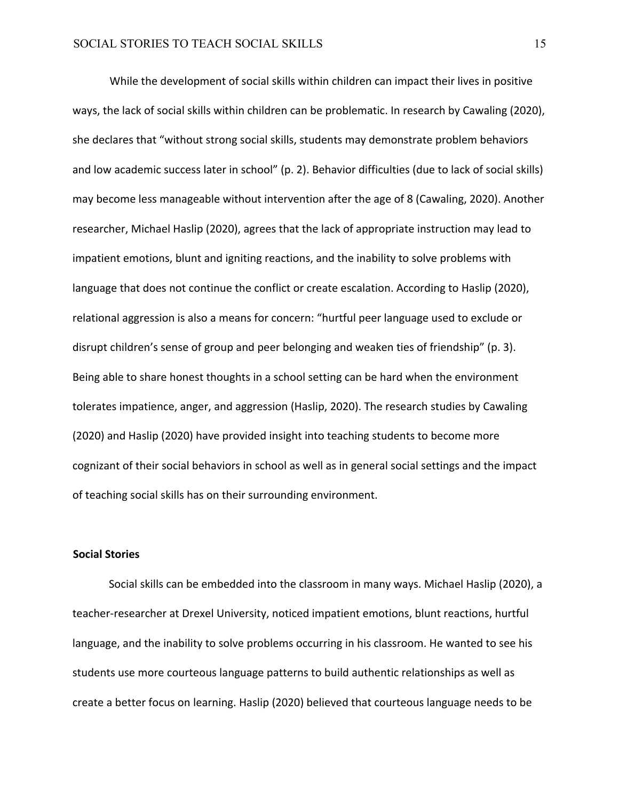While the development of social skills within children can impact their lives in positive ways, the lack of social skills within children can be problematic. In research by Cawaling (2020), she declares that "without strong social skills, students may demonstrate problem behaviors and low academic success later in school" (p. 2). Behavior difficulties (due to lack of social skills) may become less manageable without intervention after the age of 8 (Cawaling, 2020). Another researcher, Michael Haslip (2020), agrees that the lack of appropriate instruction may lead to impatient emotions, blunt and igniting reactions, and the inability to solve problems with language that does not continue the conflict or create escalation. According to Haslip (2020), relational aggression is also a means for concern: "hurtful peer language used to exclude or disrupt children's sense of group and peer belonging and weaken ties of friendship" (p. 3). Being able to share honest thoughts in a school setting can be hard when the environment tolerates impatience, anger, and aggression (Haslip, 2020). The research studies by Cawaling (2020) and Haslip (2020) have provided insight into teaching students to become more cognizant of their social behaviors in school as well as in general social settings and the impact of teaching social skills has on their surrounding environment.

## **Social Stories**

Social skills can be embedded into the classroom in many ways. Michael Haslip (2020), a teacher-researcher at Drexel University, noticed impatient emotions, blunt reactions, hurtful language, and the inability to solve problems occurring in his classroom. He wanted to see his students use more courteous language patterns to build authentic relationships as well as create a better focus on learning. Haslip (2020) believed that courteous language needs to be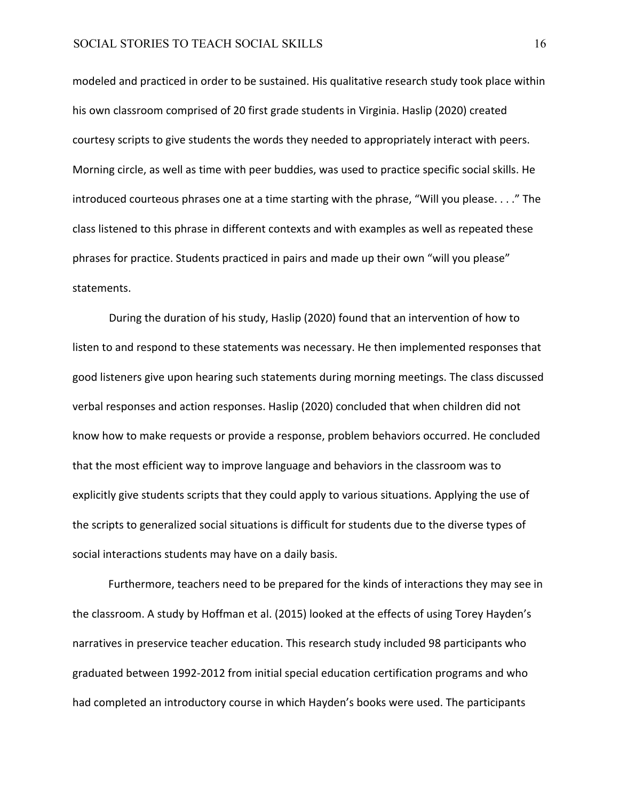modeled and practiced in order to be sustained. His qualitative research study took place within his own classroom comprised of 20 first grade students in Virginia. Haslip (2020) created courtesy scripts to give students the words they needed to appropriately interact with peers. Morning circle, as well as time with peer buddies, was used to practice specific social skills. He introduced courteous phrases one at a time starting with the phrase, "Will you please. . . ." The class listened to this phrase in different contexts and with examples as well as repeated these phrases for practice. Students practiced in pairs and made up their own "will you please" statements.

During the duration of his study, Haslip (2020) found that an intervention of how to listen to and respond to these statements was necessary. He then implemented responses that good listeners give upon hearing such statements during morning meetings. The class discussed verbal responses and action responses. Haslip (2020) concluded that when children did not know how to make requests or provide a response, problem behaviors occurred. He concluded that the most efficient way to improve language and behaviors in the classroom was to explicitly give students scripts that they could apply to various situations. Applying the use of the scripts to generalized social situations is difficult for students due to the diverse types of social interactions students may have on a daily basis.

Furthermore, teachers need to be prepared for the kinds of interactions they may see in the classroom. A study by Hoffman et al. (2015) looked at the effects of using Torey Hayden's narratives in preservice teacher education. This research study included 98 participants who graduated between 1992-2012 from initial special education certification programs and who had completed an introductory course in which Hayden's books were used. The participants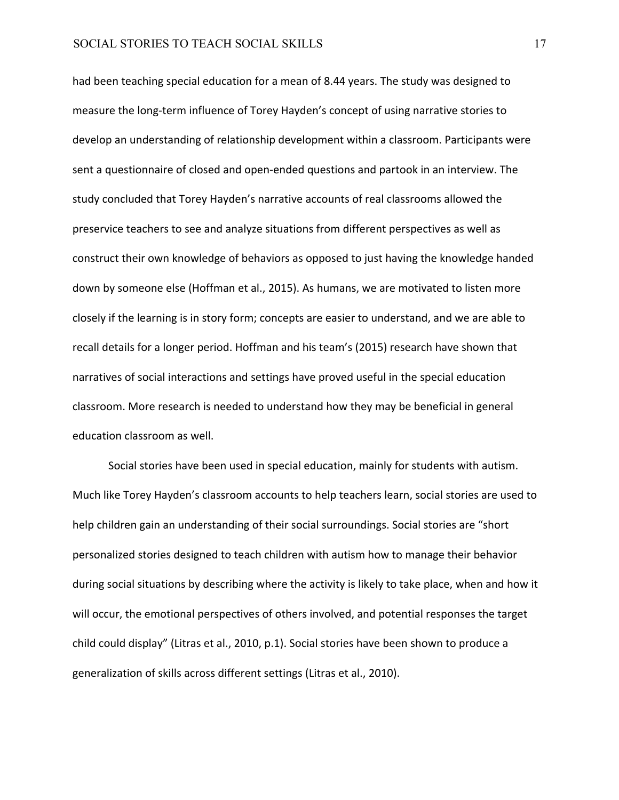had been teaching special education for a mean of 8.44 years. The study was designed to measure the long-term influence of Torey Hayden's concept of using narrative stories to develop an understanding of relationship development within a classroom. Participants were sent a questionnaire of closed and open-ended questions and partook in an interview. The study concluded that Torey Hayden's narrative accounts of real classrooms allowed the preservice teachers to see and analyze situations from different perspectives as well as construct their own knowledge of behaviors as opposed to just having the knowledge handed down by someone else (Hoffman et al., 2015). As humans, we are motivated to listen more closely if the learning is in story form; concepts are easier to understand, and we are able to recall details for a longer period. Hoffman and his team's (2015) research have shown that narratives of social interactions and settings have proved useful in the special education classroom. More research is needed to understand how they may be beneficial in general education classroom as well.

Social stories have been used in special education, mainly for students with autism. Much like Torey Hayden's classroom accounts to help teachers learn, social stories are used to help children gain an understanding of their social surroundings. Social stories are "short personalized stories designed to teach children with autism how to manage their behavior during social situations by describing where the activity is likely to take place, when and how it will occur, the emotional perspectives of others involved, and potential responses the target child could display" (Litras et al., 2010, p.1). Social stories have been shown to produce a generalization of skills across different settings (Litras et al., 2010).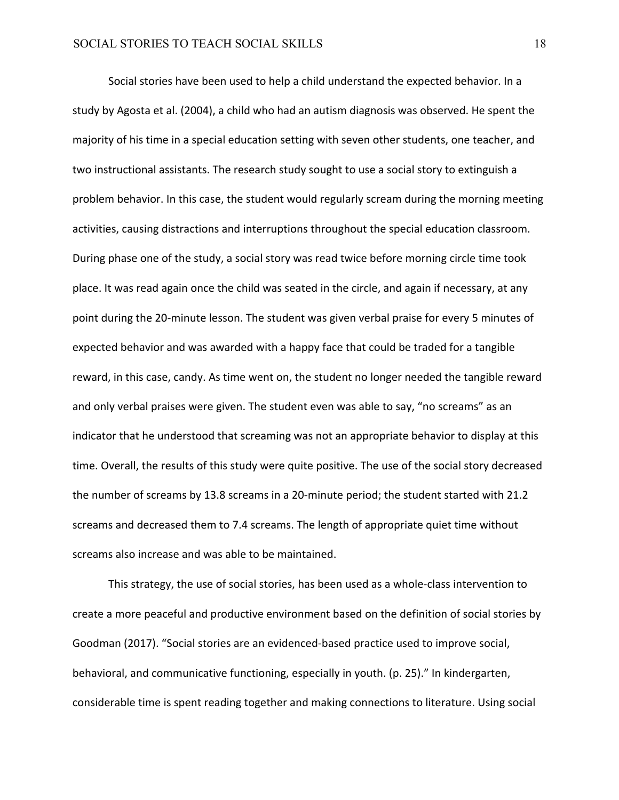Social stories have been used to help a child understand the expected behavior. In a study by Agosta et al. (2004), a child who had an autism diagnosis was observed. He spent the majority of his time in a special education setting with seven other students, one teacher, and two instructional assistants. The research study sought to use a social story to extinguish a problem behavior. In this case, the student would regularly scream during the morning meeting activities, causing distractions and interruptions throughout the special education classroom. During phase one of the study, a social story was read twice before morning circle time took place. It was read again once the child was seated in the circle, and again if necessary, at any point during the 20-minute lesson. The student was given verbal praise for every 5 minutes of expected behavior and was awarded with a happy face that could be traded for a tangible reward, in this case, candy. As time went on, the student no longer needed the tangible reward and only verbal praises were given. The student even was able to say, "no screams" as an indicator that he understood that screaming was not an appropriate behavior to display at this time. Overall, the results of this study were quite positive. The use of the social story decreased the number of screams by 13.8 screams in a 20-minute period; the student started with 21.2 screams and decreased them to 7.4 screams. The length of appropriate quiet time without screams also increase and was able to be maintained.

This strategy, the use of social stories, has been used as a whole-class intervention to create a more peaceful and productive environment based on the definition of social stories by Goodman (2017). "Social stories are an evidenced-based practice used to improve social, behavioral, and communicative functioning, especially in youth. (p. 25)." In kindergarten, considerable time is spent reading together and making connections to literature. Using social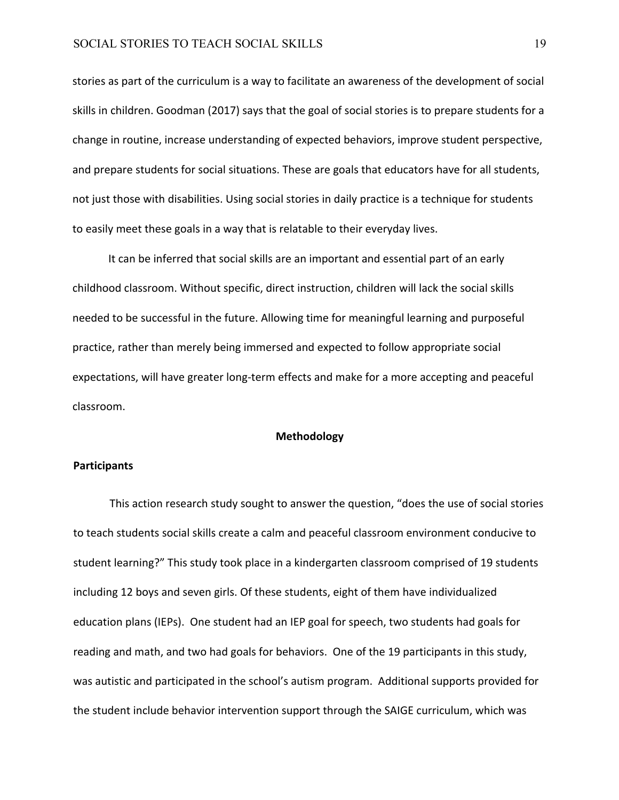stories as part of the curriculum is a way to facilitate an awareness of the development of social skills in children. Goodman (2017) says that the goal of social stories is to prepare students for a change in routine, increase understanding of expected behaviors, improve student perspective, and prepare students for social situations. These are goals that educators have for all students, not just those with disabilities. Using social stories in daily practice is a technique for students to easily meet these goals in a way that is relatable to their everyday lives.

It can be inferred that social skills are an important and essential part of an early childhood classroom. Without specific, direct instruction, children will lack the social skills needed to be successful in the future. Allowing time for meaningful learning and purposeful practice, rather than merely being immersed and expected to follow appropriate social expectations, will have greater long-term effects and make for a more accepting and peaceful classroom.

#### **Methodology**

#### **Participants**

This action research study sought to answer the question, "does the use of social stories to teach students social skills create a calm and peaceful classroom environment conducive to student learning?" This study took place in a kindergarten classroom comprised of 19 students including 12 boys and seven girls. Of these students, eight of them have individualized education plans (IEPs). One student had an IEP goal for speech, two students had goals for reading and math, and two had goals for behaviors. One of the 19 participants in this study, was autistic and participated in the school's autism program. Additional supports provided for the student include behavior intervention support through the SAIGE curriculum, which was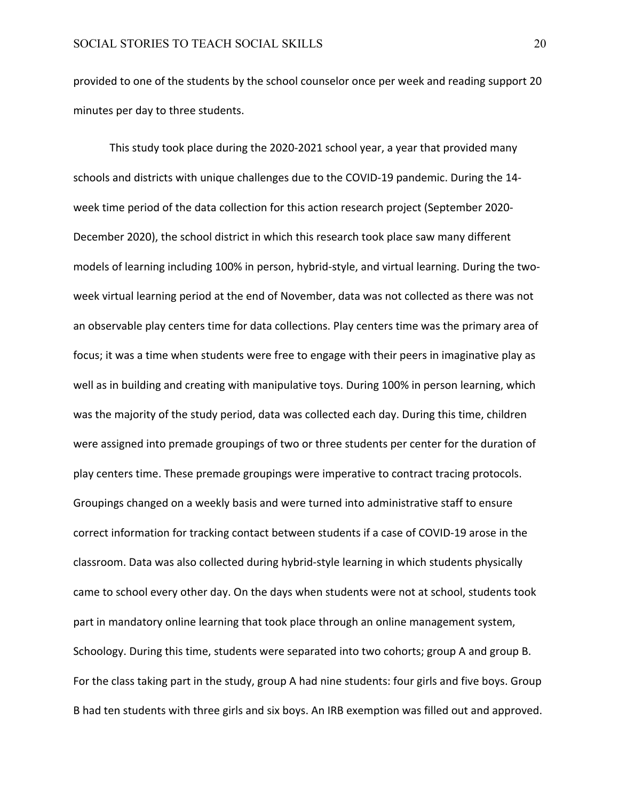provided to one of the students by the school counselor once per week and reading support 20 minutes per day to three students.

This study took place during the 2020-2021 school year, a year that provided many schools and districts with unique challenges due to the COVID-19 pandemic. During the 14 week time period of the data collection for this action research project (September 2020- December 2020), the school district in which this research took place saw many different models of learning including 100% in person, hybrid-style, and virtual learning. During the twoweek virtual learning period at the end of November, data was not collected as there was not an observable play centers time for data collections. Play centers time was the primary area of focus; it was a time when students were free to engage with their peers in imaginative play as well as in building and creating with manipulative toys. During 100% in person learning, which was the majority of the study period, data was collected each day. During this time, children were assigned into premade groupings of two or three students per center for the duration of play centers time. These premade groupings were imperative to contract tracing protocols. Groupings changed on a weekly basis and were turned into administrative staff to ensure correct information for tracking contact between students if a case of COVID-19 arose in the classroom. Data was also collected during hybrid-style learning in which students physically came to school every other day. On the days when students were not at school, students took part in mandatory online learning that took place through an online management system, Schoology. During this time, students were separated into two cohorts; group A and group B. For the class taking part in the study, group A had nine students: four girls and five boys. Group B had ten students with three girls and six boys. An IRB exemption was filled out and approved.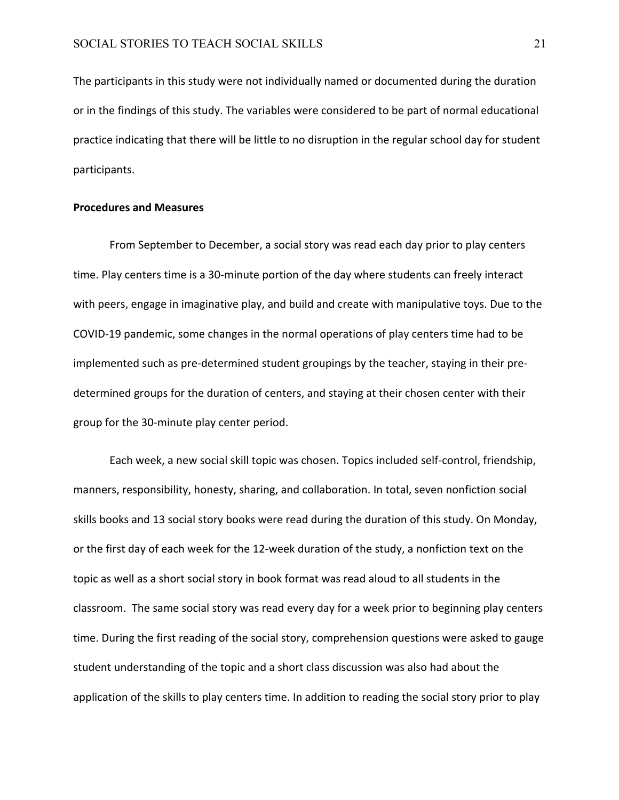The participants in this study were not individually named or documented during the duration or in the findings of this study. The variables were considered to be part of normal educational practice indicating that there will be little to no disruption in the regular school day for student participants.

#### **Procedures and Measures**

From September to December, a social story was read each day prior to play centers time. Play centers time is a 30-minute portion of the day where students can freely interact with peers, engage in imaginative play, and build and create with manipulative toys. Due to the COVID-19 pandemic, some changes in the normal operations of play centers time had to be implemented such as pre-determined student groupings by the teacher, staying in their predetermined groups for the duration of centers, and staying at their chosen center with their group for the 30-minute play center period.

Each week, a new social skill topic was chosen. Topics included self-control, friendship, manners, responsibility, honesty, sharing, and collaboration. In total, seven nonfiction social skills books and 13 social story books were read during the duration of this study. On Monday, or the first day of each week for the 12-week duration of the study, a nonfiction text on the topic as well as a short social story in book format was read aloud to all students in the classroom. The same social story was read every day for a week prior to beginning play centers time. During the first reading of the social story, comprehension questions were asked to gauge student understanding of the topic and a short class discussion was also had about the application of the skills to play centers time. In addition to reading the social story prior to play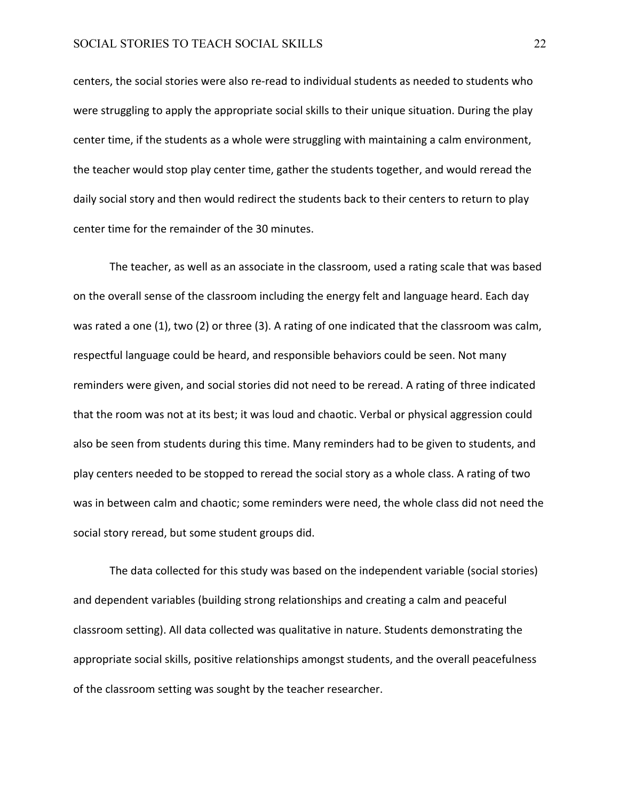centers, the social stories were also re-read to individual students as needed to students who were struggling to apply the appropriate social skills to their unique situation. During the play center time, if the students as a whole were struggling with maintaining a calm environment, the teacher would stop play center time, gather the students together, and would reread the daily social story and then would redirect the students back to their centers to return to play center time for the remainder of the 30 minutes.

The teacher, as well as an associate in the classroom, used a rating scale that was based on the overall sense of the classroom including the energy felt and language heard. Each day was rated a one (1), two (2) or three (3). A rating of one indicated that the classroom was calm, respectful language could be heard, and responsible behaviors could be seen. Not many reminders were given, and social stories did not need to be reread. A rating of three indicated that the room was not at its best; it was loud and chaotic. Verbal or physical aggression could also be seen from students during this time. Many reminders had to be given to students, and play centers needed to be stopped to reread the social story as a whole class. A rating of two was in between calm and chaotic; some reminders were need, the whole class did not need the social story reread, but some student groups did.

The data collected for this study was based on the independent variable (social stories) and dependent variables (building strong relationships and creating a calm and peaceful classroom setting). All data collected was qualitative in nature. Students demonstrating the appropriate social skills, positive relationships amongst students, and the overall peacefulness of the classroom setting was sought by the teacher researcher.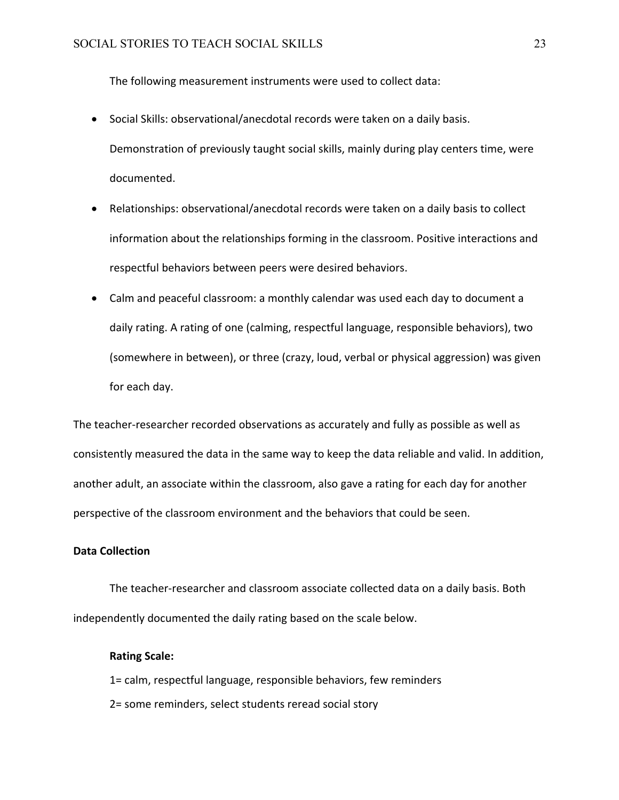The following measurement instruments were used to collect data:

- Social Skills: observational/anecdotal records were taken on a daily basis. Demonstration of previously taught social skills, mainly during play centers time, were documented.
- Relationships: observational/anecdotal records were taken on a daily basis to collect information about the relationships forming in the classroom. Positive interactions and respectful behaviors between peers were desired behaviors.
- Calm and peaceful classroom: a monthly calendar was used each day to document a daily rating. A rating of one (calming, respectful language, responsible behaviors), two (somewhere in between), or three (crazy, loud, verbal or physical aggression) was given for each day.

The teacher-researcher recorded observations as accurately and fully as possible as well as consistently measured the data in the same way to keep the data reliable and valid. In addition, another adult, an associate within the classroom, also gave a rating for each day for another perspective of the classroom environment and the behaviors that could be seen.

# **Data Collection**

The teacher-researcher and classroom associate collected data on a daily basis. Both independently documented the daily rating based on the scale below.

#### **Rating Scale:**

1= calm, respectful language, responsible behaviors, few reminders 2= some reminders, select students reread social story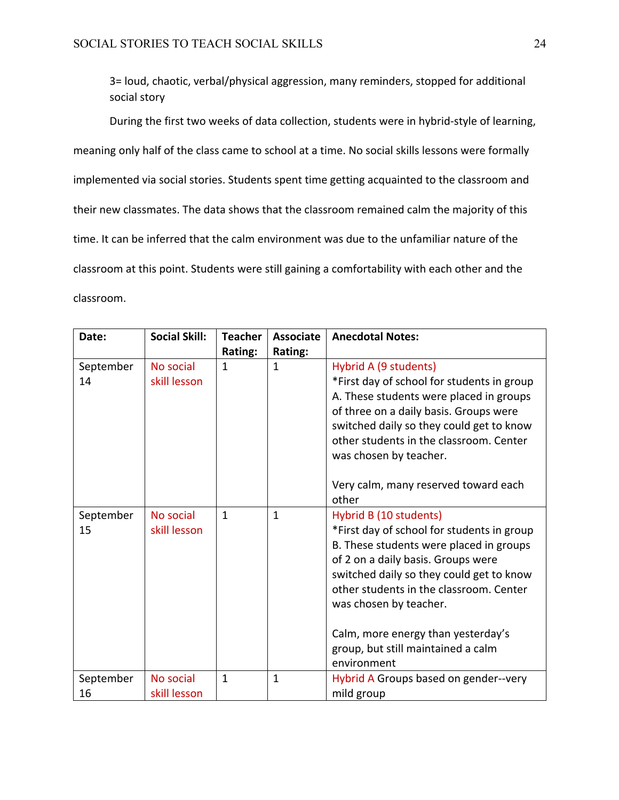3= loud, chaotic, verbal/physical aggression, many reminders, stopped for additional social story

During the first two weeks of data collection, students were in hybrid-style of learning, meaning only half of the class came to school at a time. No social skills lessons were formally implemented via social stories. Students spent time getting acquainted to the classroom and their new classmates. The data shows that the classroom remained calm the majority of this time. It can be inferred that the calm environment was due to the unfamiliar nature of the classroom at this point. Students were still gaining a comfortability with each other and the classroom.

| Date:           | <b>Social Skill:</b>      | <b>Teacher</b> | <b>Associate</b> | <b>Anecdotal Notes:</b>                                                                                                                                                                                                                                                                                                                                           |
|-----------------|---------------------------|----------------|------------------|-------------------------------------------------------------------------------------------------------------------------------------------------------------------------------------------------------------------------------------------------------------------------------------------------------------------------------------------------------------------|
|                 |                           | Rating:        | Rating:          |                                                                                                                                                                                                                                                                                                                                                                   |
| September<br>14 | No social<br>skill lesson | 1              | 1                | Hybrid A (9 students)<br>*First day of school for students in group<br>A. These students were placed in groups<br>of three on a daily basis. Groups were<br>switched daily so they could get to know<br>other students in the classroom. Center<br>was chosen by teacher.<br>Very calm, many reserved toward each<br>other                                        |
| September<br>15 | No social<br>skill lesson | $\mathbf{1}$   | $\mathbf{1}$     | Hybrid B (10 students)<br>*First day of school for students in group<br>B. These students were placed in groups<br>of 2 on a daily basis. Groups were<br>switched daily so they could get to know<br>other students in the classroom. Center<br>was chosen by teacher.<br>Calm, more energy than yesterday's<br>group, but still maintained a calm<br>environment |
| September<br>16 | No social<br>skill lesson | $\mathbf{1}$   | $\mathbf{1}$     | Hybrid A Groups based on gender--very<br>mild group                                                                                                                                                                                                                                                                                                               |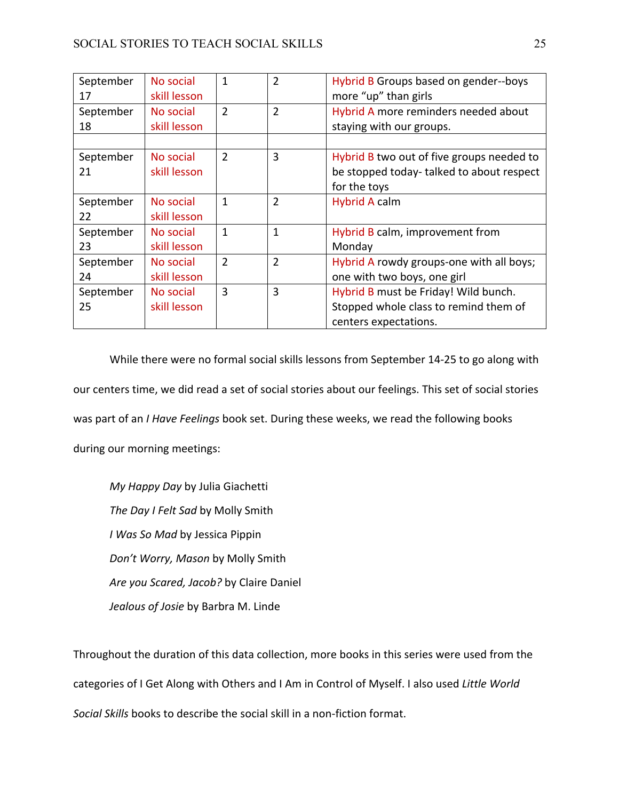| September<br>17 | No social<br>skill lesson | 1              | 2              | Hybrid B Groups based on gender--boys<br>more "up" than girls                                          |
|-----------------|---------------------------|----------------|----------------|--------------------------------------------------------------------------------------------------------|
| September<br>18 | No social<br>skill lesson | $\overline{2}$ | $\overline{2}$ | Hybrid A more reminders needed about<br>staying with our groups.                                       |
|                 |                           |                |                |                                                                                                        |
| September<br>21 | No social<br>skill lesson | 2              | 3              | Hybrid B two out of five groups needed to<br>be stopped today-talked to about respect<br>for the toys  |
| September<br>22 | No social<br>skill lesson | 1              | $\overline{2}$ | <b>Hybrid A calm</b>                                                                                   |
| September<br>23 | No social<br>skill lesson | $\mathbf{1}$   | 1              | Hybrid B calm, improvement from<br>Monday                                                              |
| September<br>24 | No social<br>skill lesson | $\overline{2}$ | $\overline{2}$ | Hybrid A rowdy groups-one with all boys;<br>one with two boys, one girl                                |
| September<br>25 | No social<br>skill lesson | 3              | 3              | Hybrid B must be Friday! Wild bunch.<br>Stopped whole class to remind them of<br>centers expectations. |

While there were no formal social skills lessons from September 14-25 to go along with our centers time, we did read a set of social stories about our feelings. This set of social stories was part of an *I Have Feelings* book set. During these weeks, we read the following books during our morning meetings:

*My Happy Day* by Julia Giachetti *The Day I Felt Sad* by Molly Smith *I Was So Mad* by Jessica Pippin *Don't Worry, Mason* by Molly Smith *Are you Scared, Jacob?* by Claire Daniel *Jealous of Josie* by Barbra M. Linde

Throughout the duration of this data collection, more books in this series were used from the categories of I Get Along with Others and I Am in Control of Myself. I also used *Little World Social Skills* books to describe the social skill in a non-fiction format.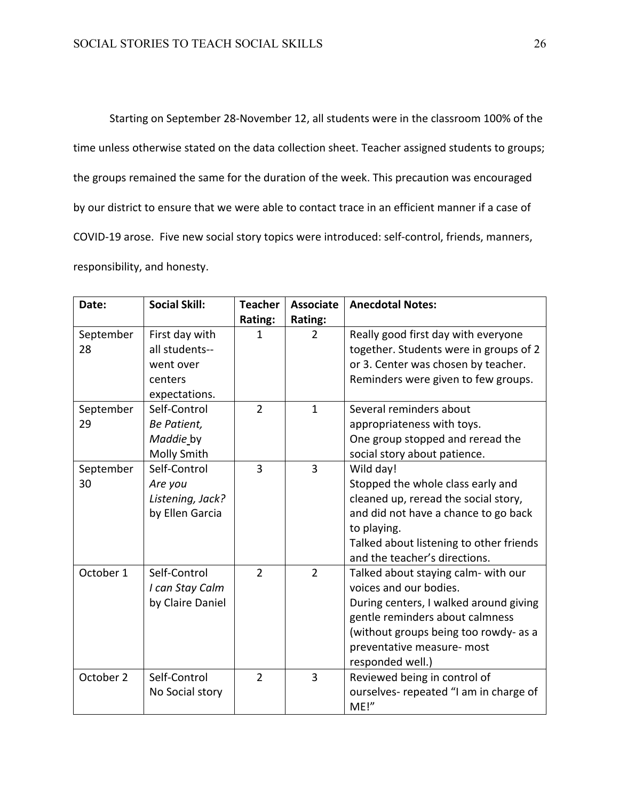Starting on September 28-November 12, all students were in the classroom 100% of the time unless otherwise stated on the data collection sheet. Teacher assigned students to groups; the groups remained the same for the duration of the week. This precaution was encouraged by our district to ensure that we were able to contact trace in an efficient manner if a case of COVID-19 arose. Five new social story topics were introduced: self-control, friends, manners, responsibility, and honesty.

| Date:     | <b>Social Skill:</b> | <b>Teacher</b> | <b>Associate</b> | <b>Anecdotal Notes:</b>                 |
|-----------|----------------------|----------------|------------------|-----------------------------------------|
|           |                      | Rating:        | Rating:          |                                         |
| September | First day with       | 1              | $\overline{2}$   | Really good first day with everyone     |
| 28        | all students--       |                |                  | together. Students were in groups of 2  |
|           | went over            |                |                  | or 3. Center was chosen by teacher.     |
|           | centers              |                |                  | Reminders were given to few groups.     |
|           | expectations.        |                |                  |                                         |
| September | Self-Control         | $\overline{2}$ | $\mathbf{1}$     | Several reminders about                 |
| 29        | Be Patient,          |                |                  | appropriateness with toys.              |
|           | Maddie by            |                |                  | One group stopped and reread the        |
|           | Molly Smith          |                |                  | social story about patience.            |
| September | Self-Control         | $\overline{3}$ | 3                | Wild day!                               |
| 30        | Are you              |                |                  | Stopped the whole class early and       |
|           | Listening, Jack?     |                |                  | cleaned up, reread the social story,    |
|           | by Ellen Garcia      |                |                  | and did not have a chance to go back    |
|           |                      |                |                  | to playing.                             |
|           |                      |                |                  | Talked about listening to other friends |
|           |                      |                |                  | and the teacher's directions.           |
| October 1 | Self-Control         | $\overline{2}$ | $\overline{2}$   | Talked about staying calm- with our     |
|           | I can Stay Calm      |                |                  | voices and our bodies.                  |
|           | by Claire Daniel     |                |                  | During centers, I walked around giving  |
|           |                      |                |                  | gentle reminders about calmness         |
|           |                      |                |                  | (without groups being too rowdy- as a   |
|           |                      |                |                  | preventative measure- most              |
|           |                      |                |                  | responded well.)                        |
| October 2 | Self-Control         | $\overline{2}$ | 3                | Reviewed being in control of            |
|           | No Social story      |                |                  | ourselves- repeated "I am in charge of  |
|           |                      |                |                  | ME!"                                    |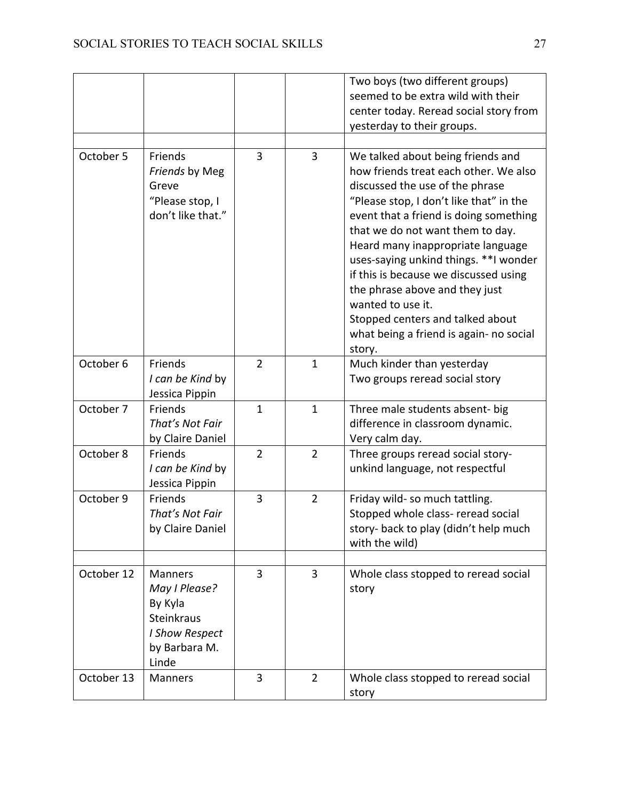|            |                                                                                                      |                |                | Two boys (two different groups)                                                                                                                                                                                                                                                                                                                                                                                                                                                                                |
|------------|------------------------------------------------------------------------------------------------------|----------------|----------------|----------------------------------------------------------------------------------------------------------------------------------------------------------------------------------------------------------------------------------------------------------------------------------------------------------------------------------------------------------------------------------------------------------------------------------------------------------------------------------------------------------------|
|            |                                                                                                      |                |                | seemed to be extra wild with their                                                                                                                                                                                                                                                                                                                                                                                                                                                                             |
|            |                                                                                                      |                |                | center today. Reread social story from                                                                                                                                                                                                                                                                                                                                                                                                                                                                         |
|            |                                                                                                      |                |                | yesterday to their groups.                                                                                                                                                                                                                                                                                                                                                                                                                                                                                     |
|            |                                                                                                      |                |                |                                                                                                                                                                                                                                                                                                                                                                                                                                                                                                                |
| October 5  | Friends<br>Friends by Meg<br>Greve<br>"Please stop, I<br>don't like that."                           | $\overline{3}$ | 3              | We talked about being friends and<br>how friends treat each other. We also<br>discussed the use of the phrase<br>"Please stop, I don't like that" in the<br>event that a friend is doing something<br>that we do not want them to day.<br>Heard many inappropriate language<br>uses-saying unkind things. ** I wonder<br>if this is because we discussed using<br>the phrase above and they just<br>wanted to use it.<br>Stopped centers and talked about<br>what being a friend is again- no social<br>story. |
| October 6  | Friends<br>I can be Kind by<br>Jessica Pippin                                                        | $\overline{2}$ | $\mathbf{1}$   | Much kinder than yesterday<br>Two groups reread social story                                                                                                                                                                                                                                                                                                                                                                                                                                                   |
| October 7  | Friends<br>That's Not Fair<br>by Claire Daniel                                                       | $\mathbf{1}$   | $\mathbf 1$    | Three male students absent- big<br>difference in classroom dynamic.<br>Very calm day.                                                                                                                                                                                                                                                                                                                                                                                                                          |
| October 8  | Friends<br>I can be Kind by<br>Jessica Pippin                                                        | $\overline{2}$ | $\overline{2}$ | Three groups reread social story-<br>unkind language, not respectful                                                                                                                                                                                                                                                                                                                                                                                                                                           |
| October 9  | Friends<br>That's Not Fair<br>by Claire Daniel                                                       | 3              | $\overline{2}$ | Friday wild- so much tattling.<br>Stopped whole class- reread social<br>story- back to play (didn't help much<br>with the wild)                                                                                                                                                                                                                                                                                                                                                                                |
| October 12 | <b>Manners</b><br>May I Please?<br>By Kyla<br>Steinkraus<br>I Show Respect<br>by Barbara M.<br>Linde | $\overline{3}$ | $\overline{3}$ | Whole class stopped to reread social<br>story                                                                                                                                                                                                                                                                                                                                                                                                                                                                  |
| October 13 | Manners                                                                                              | 3              | $\overline{2}$ | Whole class stopped to reread social<br>story                                                                                                                                                                                                                                                                                                                                                                                                                                                                  |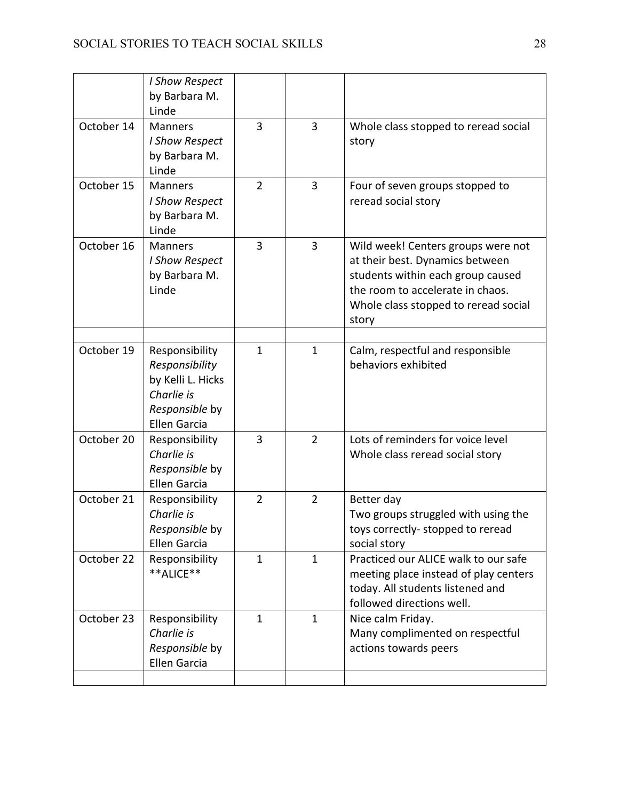|            | I Show Respect<br>by Barbara M.<br>Linde                                                                     |                |                |                                                                                                                                                                                                 |
|------------|--------------------------------------------------------------------------------------------------------------|----------------|----------------|-------------------------------------------------------------------------------------------------------------------------------------------------------------------------------------------------|
| October 14 | <b>Manners</b><br>I Show Respect<br>by Barbara M.<br>Linde                                                   | $\overline{3}$ | 3              | Whole class stopped to reread social<br>story                                                                                                                                                   |
| October 15 | <b>Manners</b><br>I Show Respect<br>by Barbara M.<br>Linde                                                   | $\overline{2}$ | $\overline{3}$ | Four of seven groups stopped to<br>reread social story                                                                                                                                          |
| October 16 | <b>Manners</b><br>I Show Respect<br>by Barbara M.<br>Linde                                                   | 3              | 3              | Wild week! Centers groups were not<br>at their best. Dynamics between<br>students within each group caused<br>the room to accelerate in chaos.<br>Whole class stopped to reread social<br>story |
| October 19 | Responsibility<br>Responsibility<br>by Kelli L. Hicks<br>Charlie is<br>Responsible by<br><b>Ellen Garcia</b> | $\mathbf{1}$   | $\mathbf{1}$   | Calm, respectful and responsible<br>behaviors exhibited                                                                                                                                         |
| October 20 | Responsibility<br>Charlie is<br>Responsible by<br><b>Ellen Garcia</b>                                        | $\overline{3}$ | $\overline{2}$ | Lots of reminders for voice level<br>Whole class reread social story                                                                                                                            |
| October 21 | Responsibility<br>Charlie is<br>Responsible by<br>Ellen Garcia                                               | $\overline{2}$ | $\overline{2}$ | Better day<br>Two groups struggled with using the<br>toys correctly-stopped to reread<br>social story                                                                                           |
| October 22 | Responsibility<br>**ALICE**                                                                                  | $\mathbf{1}$   | $\mathbf 1$    | Practiced our ALICE walk to our safe<br>meeting place instead of play centers<br>today. All students listened and<br>followed directions well.                                                  |
| October 23 | Responsibility<br>Charlie is<br>Responsible by<br><b>Ellen Garcia</b>                                        | $\mathbf{1}$   | $\mathbf{1}$   | Nice calm Friday.<br>Many complimented on respectful<br>actions towards peers                                                                                                                   |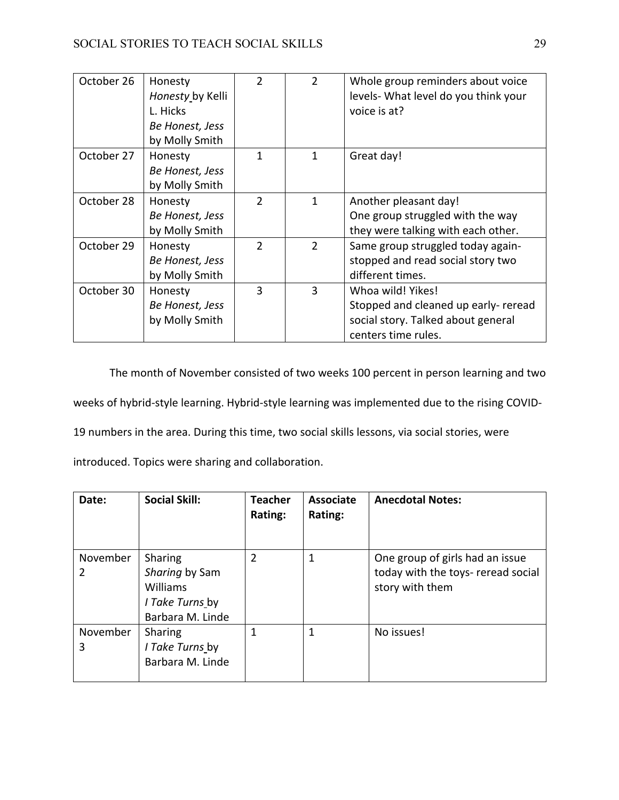| October 26 | Honesty<br>Honesty by Kelli<br>L. Hicks<br>Be Honest, Jess<br>by Molly Smith | $\mathfrak{D}$ | $\overline{2}$ | Whole group reminders about voice<br>levels- What level do you think your<br>voice is at?                              |
|------------|------------------------------------------------------------------------------|----------------|----------------|------------------------------------------------------------------------------------------------------------------------|
| October 27 | Honesty<br>Be Honest, Jess<br>by Molly Smith                                 | 1              | 1              | Great day!                                                                                                             |
| October 28 | Honesty<br>Be Honest, Jess<br>by Molly Smith                                 | $\overline{2}$ | 1              | Another pleasant day!<br>One group struggled with the way<br>they were talking with each other.                        |
| October 29 | Honesty<br>Be Honest, Jess<br>by Molly Smith                                 | $\mathcal{P}$  | $\overline{2}$ | Same group struggled today again-<br>stopped and read social story two<br>different times.                             |
| October 30 | Honesty<br>Be Honest, Jess<br>by Molly Smith                                 | 3              | 3              | Whoa wild! Yikes!<br>Stopped and cleaned up early- reread<br>social story. Talked about general<br>centers time rules. |

The month of November consisted of two weeks 100 percent in person learning and two weeks of hybrid-style learning. Hybrid-style learning was implemented due to the rising COVID-19 numbers in the area. During this time, two social skills lessons, via social stories, were introduced. Topics were sharing and collaboration.

| Date:         | <b>Social Skill:</b>                                                                | <b>Teacher</b><br>Rating: | <b>Associate</b><br>Rating: | <b>Anecdotal Notes:</b>                                                                  |
|---------------|-------------------------------------------------------------------------------------|---------------------------|-----------------------------|------------------------------------------------------------------------------------------|
| November<br>2 | Sharing<br>Sharing by Sam<br><b>Williams</b><br>I Take Turns by<br>Barbara M. Linde | $\overline{2}$            | 1                           | One group of girls had an issue<br>today with the toys- reread social<br>story with them |
| November<br>3 | Sharing<br>I Take Turns by<br>Barbara M. Linde                                      | 1                         |                             | No issues!                                                                               |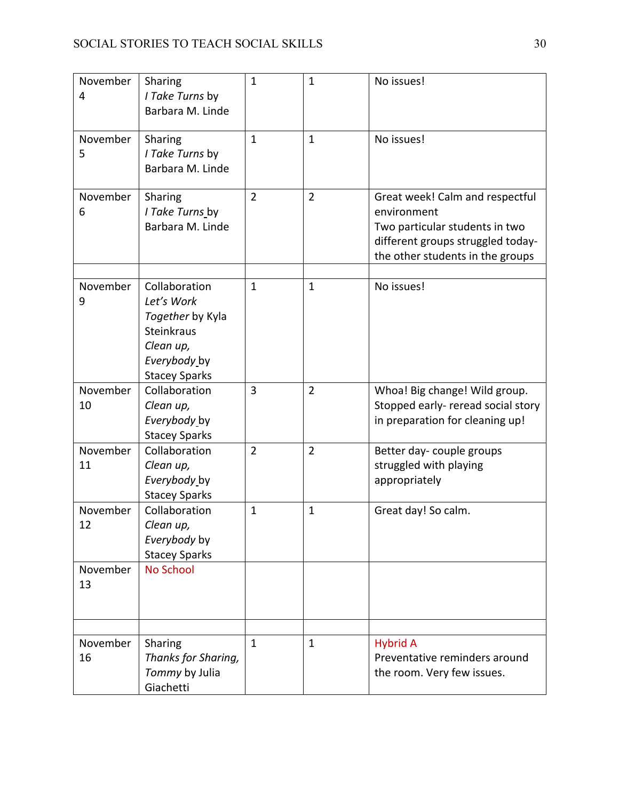| November<br>4  | Sharing<br>I Take Turns by<br>Barbara M. Linde                                                                            | $\mathbf{1}$   | $\mathbf{1}$   | No issues!                                                                                                                                                |
|----------------|---------------------------------------------------------------------------------------------------------------------------|----------------|----------------|-----------------------------------------------------------------------------------------------------------------------------------------------------------|
| November<br>5  | Sharing<br>I Take Turns by<br>Barbara M. Linde                                                                            | $\mathbf{1}$   | $\mathbf{1}$   | No issues!                                                                                                                                                |
| November<br>6  | Sharing<br>I Take Turns by<br>Barbara M. Linde                                                                            | $\overline{2}$ | $\overline{2}$ | Great week! Calm and respectful<br>environment<br>Two particular students in two<br>different groups struggled today-<br>the other students in the groups |
| November<br>9  | Collaboration<br>Let's Work<br>Together by Kyla<br><b>Steinkraus</b><br>Clean up,<br>Everybody by<br><b>Stacey Sparks</b> | $\mathbf{1}$   | $\mathbf{1}$   | No issues!                                                                                                                                                |
| November<br>10 | Collaboration<br>Clean up,<br>Everybody by<br><b>Stacey Sparks</b>                                                        | 3              | $\overline{2}$ | Whoa! Big change! Wild group.<br>Stopped early- reread social story<br>in preparation for cleaning up!                                                    |
| November<br>11 | Collaboration<br>Clean up,<br>Everybody by<br><b>Stacey Sparks</b>                                                        | $\overline{2}$ | $\overline{2}$ | Better day-couple groups<br>struggled with playing<br>appropriately                                                                                       |
| November<br>12 | Collaboration<br>Clean up,<br>Everybody by<br><b>Stacey Sparks</b>                                                        | $\mathbf{1}$   | $\mathbf{1}$   | Great day! So calm.                                                                                                                                       |
| November<br>13 | No School                                                                                                                 |                |                |                                                                                                                                                           |
| November<br>16 | Sharing<br>Thanks for Sharing,<br>Tommy by Julia<br>Giachetti                                                             | $\mathbf{1}$   | $\mathbf{1}$   | <b>Hybrid A</b><br>Preventative reminders around<br>the room. Very few issues.                                                                            |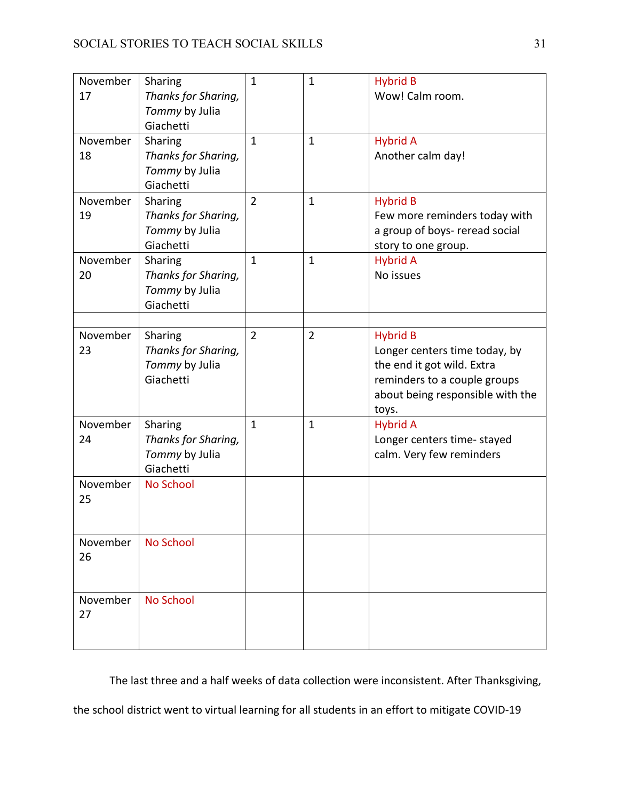| November<br>17 | Sharing<br>Thanks for Sharing,<br>Tommy by Julia<br>Giachetti | $\mathbf{1}$   | $\mathbf{1}$   | <b>Hybrid B</b><br>Wow! Calm room.                                                                                                                          |
|----------------|---------------------------------------------------------------|----------------|----------------|-------------------------------------------------------------------------------------------------------------------------------------------------------------|
| November<br>18 | Sharing<br>Thanks for Sharing,<br>Tommy by Julia<br>Giachetti | $\mathbf{1}$   | $\mathbf{1}$   | <b>Hybrid A</b><br>Another calm day!                                                                                                                        |
| November<br>19 | Sharing<br>Thanks for Sharing,<br>Tommy by Julia<br>Giachetti | $\overline{2}$ | $\mathbf{1}$   | <b>Hybrid B</b><br>Few more reminders today with<br>a group of boys- reread social<br>story to one group.                                                   |
| November<br>20 | Sharing<br>Thanks for Sharing,<br>Tommy by Julia<br>Giachetti | $\mathbf{1}$   | $\mathbf{1}$   | <b>Hybrid A</b><br>No issues                                                                                                                                |
| November<br>23 | Sharing<br>Thanks for Sharing,<br>Tommy by Julia<br>Giachetti | $\overline{2}$ | $\overline{2}$ | <b>Hybrid B</b><br>Longer centers time today, by<br>the end it got wild. Extra<br>reminders to a couple groups<br>about being responsible with the<br>toys. |
| November<br>24 | Sharing<br>Thanks for Sharing,<br>Tommy by Julia<br>Giachetti | $\mathbf{1}$   | $\mathbf{1}$   | <b>Hybrid A</b><br>Longer centers time-stayed<br>calm. Very few reminders                                                                                   |
| November<br>25 | <b>No School</b>                                              |                |                |                                                                                                                                                             |
| November<br>26 | <b>No School</b>                                              |                |                |                                                                                                                                                             |
| November<br>27 | <b>No School</b>                                              |                |                |                                                                                                                                                             |

The last three and a half weeks of data collection were inconsistent. After Thanksgiving,

the school district went to virtual learning for all students in an effort to mitigate COVID-19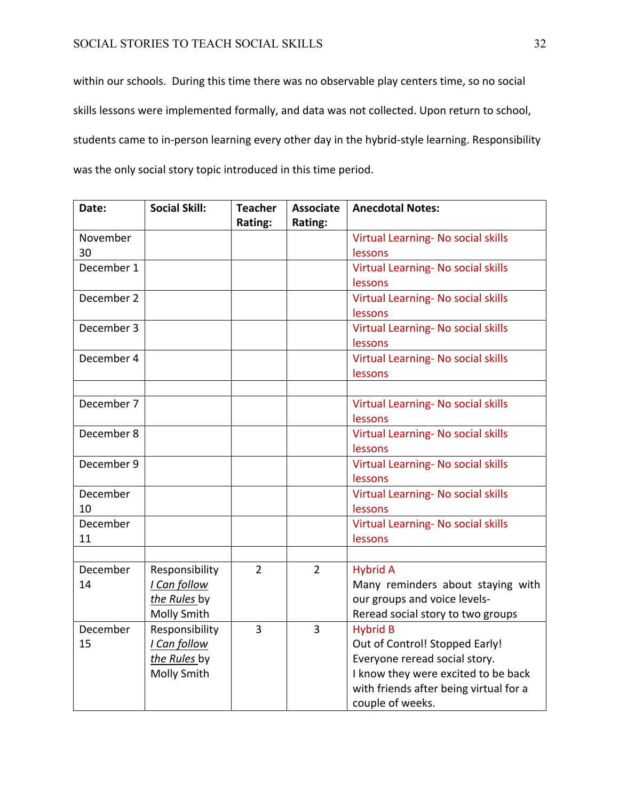# SOCIAL STORIES TO TEACH SOCIAL SKILLS 32

within our schools. During this time there was no observable play centers time, so no social skills lessons were implemented formally, and data was not collected. Upon return to school, students came to in-person learning every other day in the hybrid-style learning. Responsibility was the only social story topic introduced in this time period.

| Date:      | <b>Social Skill:</b> | <b>Teacher</b><br>Rating: | <b>Associate</b> | <b>Anecdotal Notes:</b>                |
|------------|----------------------|---------------------------|------------------|----------------------------------------|
|            |                      |                           | Rating:          |                                        |
| November   |                      |                           |                  | Virtual Learning- No social skills     |
| 30         |                      |                           |                  | lessons                                |
| December 1 |                      |                           |                  | Virtual Learning- No social skills     |
|            |                      |                           |                  | lessons                                |
| December 2 |                      |                           |                  | Virtual Learning- No social skills     |
|            |                      |                           |                  | lessons                                |
| December 3 |                      |                           |                  | Virtual Learning- No social skills     |
|            |                      |                           |                  | lessons                                |
| December 4 |                      |                           |                  | Virtual Learning- No social skills     |
|            |                      |                           |                  | lessons                                |
|            |                      |                           |                  |                                        |
| December 7 |                      |                           |                  | Virtual Learning- No social skills     |
|            |                      |                           |                  | lessons                                |
| December 8 |                      |                           |                  | Virtual Learning- No social skills     |
|            |                      |                           |                  | lessons                                |
| December 9 |                      |                           |                  | Virtual Learning- No social skills     |
|            |                      |                           |                  | lessons                                |
| December   |                      |                           |                  | Virtual Learning- No social skills     |
| 10         |                      |                           |                  | lessons                                |
| December   |                      |                           |                  | Virtual Learning- No social skills     |
| 11         |                      |                           |                  | lessons                                |
|            |                      |                           |                  |                                        |
| December   | Responsibility       | $\overline{2}$            | $\overline{2}$   | <b>Hybrid A</b>                        |
| 14         | I Can follow         |                           |                  | Many reminders about staying with      |
|            | the Rules by         |                           |                  | our groups and voice levels-           |
|            | Molly Smith          |                           |                  | Reread social story to two groups      |
| December   | Responsibility       | $\overline{3}$            | 3                | <b>Hybrid B</b>                        |
| 15         | I Can follow         |                           |                  | Out of Control! Stopped Early!         |
|            | the Rules by         |                           |                  | Everyone reread social story.          |
|            |                      |                           |                  |                                        |
|            | Molly Smith          |                           |                  | I know they were excited to be back    |
|            |                      |                           |                  | with friends after being virtual for a |
|            |                      |                           |                  | couple of weeks.                       |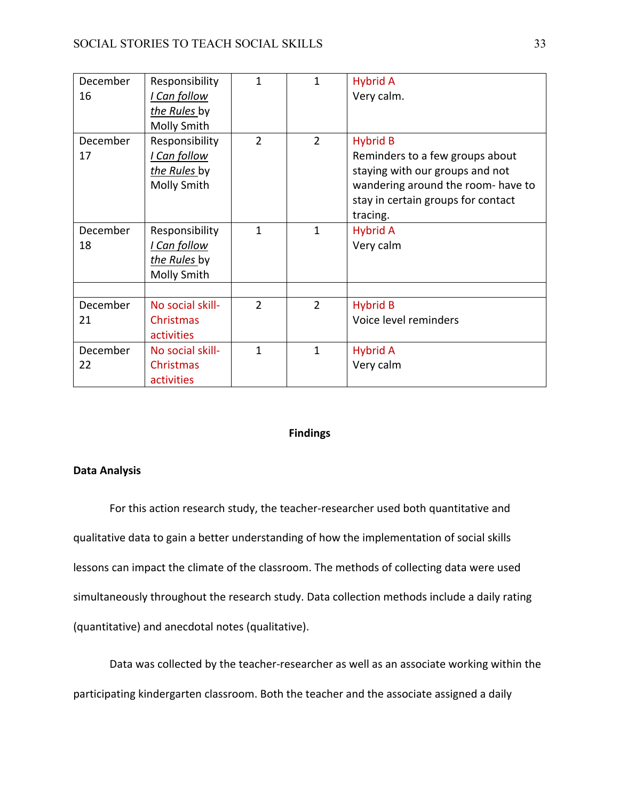| December<br>16 | Responsibility<br>I Can follow<br>the Rules by<br>Molly Smith | $\mathbf{1}$   | 1              | <b>Hybrid A</b><br>Very calm.                                                                                                                                                 |
|----------------|---------------------------------------------------------------|----------------|----------------|-------------------------------------------------------------------------------------------------------------------------------------------------------------------------------|
| December<br>17 | Responsibility<br>I Can follow<br>the Rules by<br>Molly Smith | $\overline{2}$ | $\overline{2}$ | <b>Hybrid B</b><br>Reminders to a few groups about<br>staying with our groups and not<br>wandering around the room- have to<br>stay in certain groups for contact<br>tracing. |
| December<br>18 | Responsibility<br>I Can follow<br>the Rules by<br>Molly Smith | $\mathbf{1}$   | $\mathbf{1}$   | <b>Hybrid A</b><br>Very calm                                                                                                                                                  |
| December<br>21 | No social skill-<br>Christmas<br>activities                   | $\overline{2}$ | $\overline{2}$ | <b>Hybrid B</b><br>Voice level reminders                                                                                                                                      |
| December<br>22 | No social skill-<br>Christmas<br>activities                   | $\mathbf{1}$   | $\mathbf{1}$   | <b>Hybrid A</b><br>Very calm                                                                                                                                                  |

## **Findings**

#### **Data Analysis**

For this action research study, the teacher-researcher used both quantitative and qualitative data to gain a better understanding of how the implementation of social skills lessons can impact the climate of the classroom. The methods of collecting data were used simultaneously throughout the research study. Data collection methods include a daily rating (quantitative) and anecdotal notes (qualitative).

Data was collected by the teacher-researcher as well as an associate working within the participating kindergarten classroom. Both the teacher and the associate assigned a daily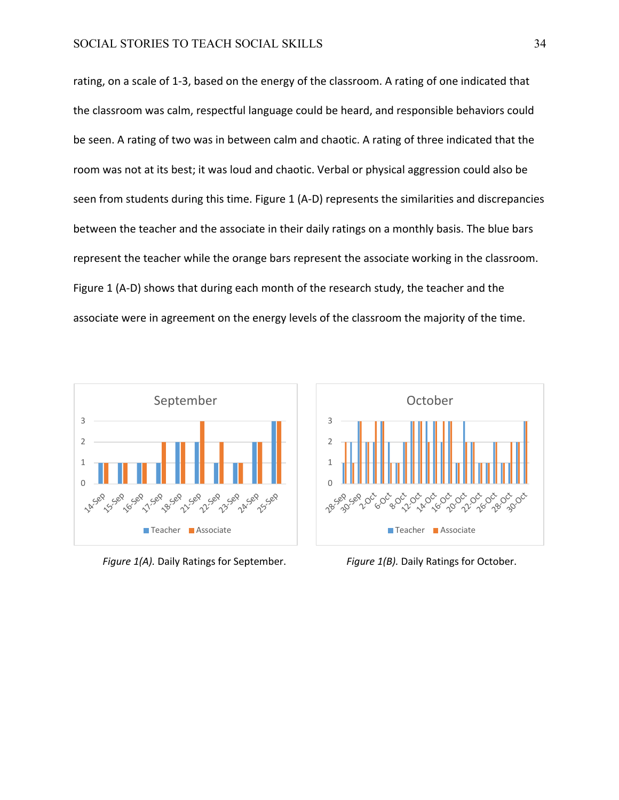rating, on a scale of 1-3, based on the energy of the classroom. A rating of one indicated that the classroom was calm, respectful language could be heard, and responsible behaviors could be seen. A rating of two was in between calm and chaotic. A rating of three indicated that the room was not at its best; it was loud and chaotic. Verbal or physical aggression could also be seen from students during this time. Figure 1 (A-D) represents the similarities and discrepancies between the teacher and the associate in their daily ratings on a monthly basis. The blue bars represent the teacher while the orange bars represent the associate working in the classroom. Figure 1 (A-D) shows that during each month of the research study, the teacher and the associate were in agreement on the energy levels of the classroom the majority of the time.



*Figure 1(A).* Daily Ratings for September. *Figure 1(B).* Daily Ratings for October.

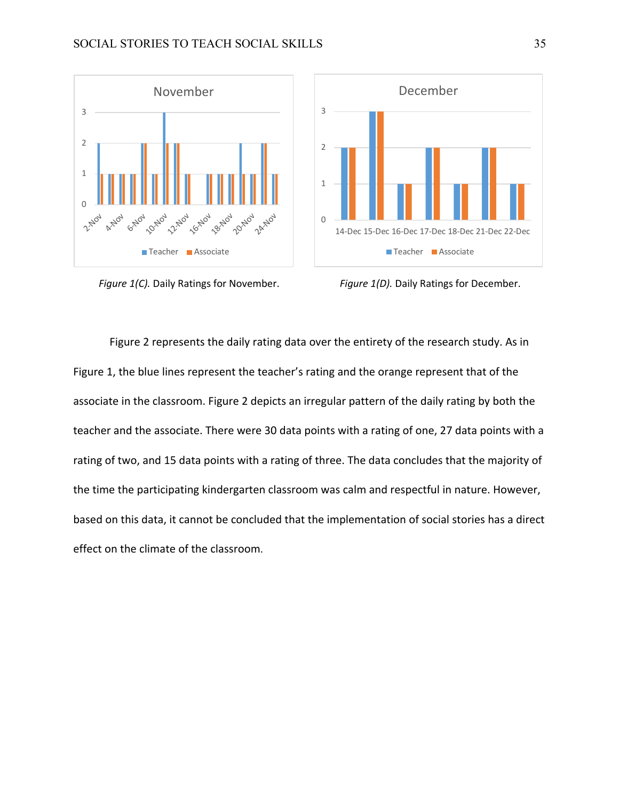



*Figure 1(C).* Daily Ratings for November. *Figure 1(D).* Daily Ratings for December.

Figure 2 represents the daily rating data over the entirety of the research study. As in Figure 1, the blue lines represent the teacher's rating and the orange represent that of the associate in the classroom. Figure 2 depicts an irregular pattern of the daily rating by both the teacher and the associate. There were 30 data points with a rating of one, 27 data points with a rating of two, and 15 data points with a rating of three. The data concludes that the majority of the time the participating kindergarten classroom was calm and respectful in nature. However, based on this data, it cannot be concluded that the implementation of social stories has a direct effect on the climate of the classroom.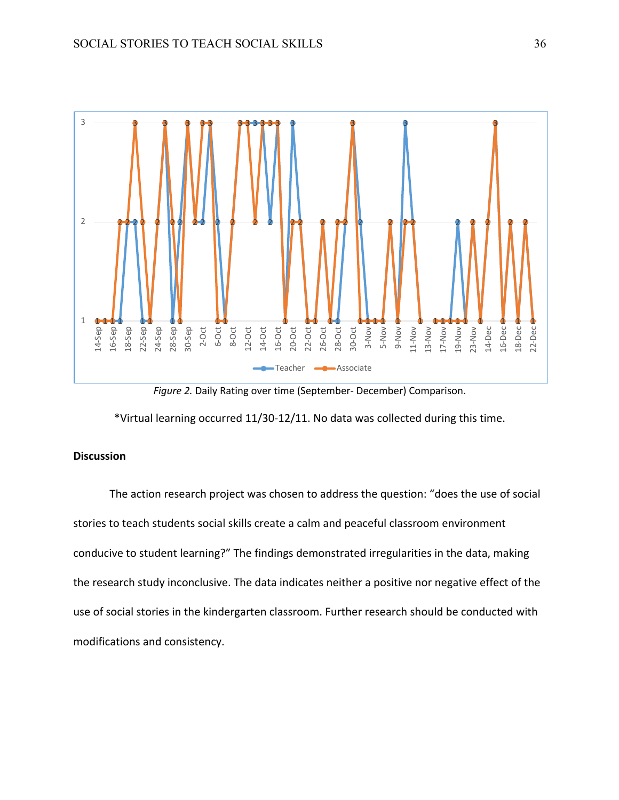

*Figure 2.* Daily Rating over time (September- December) Comparison.

\*Virtual learning occurred 11/30-12/11. No data was collected during this time.

# **Discussion**

The action research project was chosen to address the question: "does the use of social stories to teach students social skills create a calm and peaceful classroom environment conducive to student learning?" The findings demonstrated irregularities in the data, making the research study inconclusive. The data indicates neither a positive nor negative effect of the use of social stories in the kindergarten classroom. Further research should be conducted with modifications and consistency.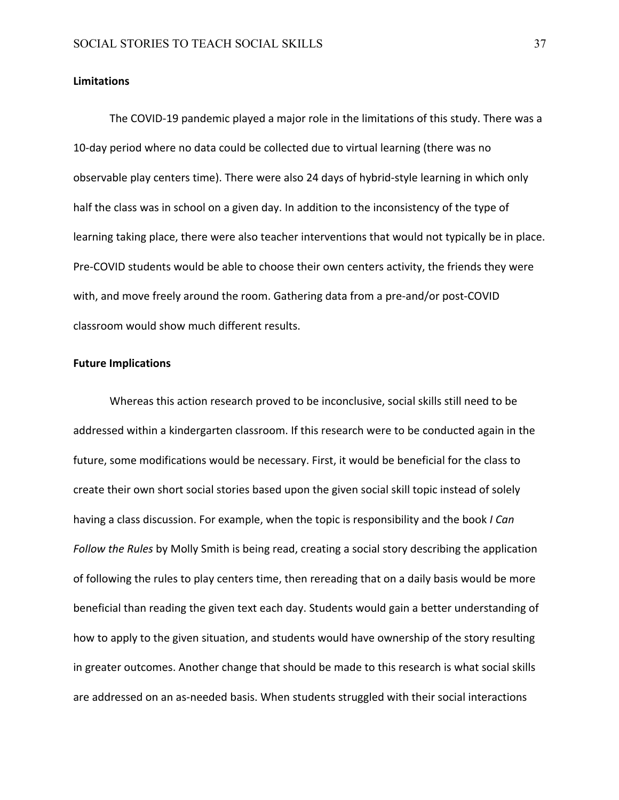#### **Limitations**

The COVID-19 pandemic played a major role in the limitations of this study. There was a 10-day period where no data could be collected due to virtual learning (there was no observable play centers time). There were also 24 days of hybrid-style learning in which only half the class was in school on a given day. In addition to the inconsistency of the type of learning taking place, there were also teacher interventions that would not typically be in place. Pre-COVID students would be able to choose their own centers activity, the friends they were with, and move freely around the room. Gathering data from a pre-and/or post-COVID classroom would show much different results.

#### **Future Implications**

Whereas this action research proved to be inconclusive, social skills still need to be addressed within a kindergarten classroom. If this research were to be conducted again in the future, some modifications would be necessary. First, it would be beneficial for the class to create their own short social stories based upon the given social skill topic instead of solely having a class discussion. For example, when the topic is responsibility and the book *I Can Follow the Rules* by Molly Smith is being read, creating a social story describing the application of following the rules to play centers time, then rereading that on a daily basis would be more beneficial than reading the given text each day. Students would gain a better understanding of how to apply to the given situation, and students would have ownership of the story resulting in greater outcomes. Another change that should be made to this research is what social skills are addressed on an as-needed basis. When students struggled with their social interactions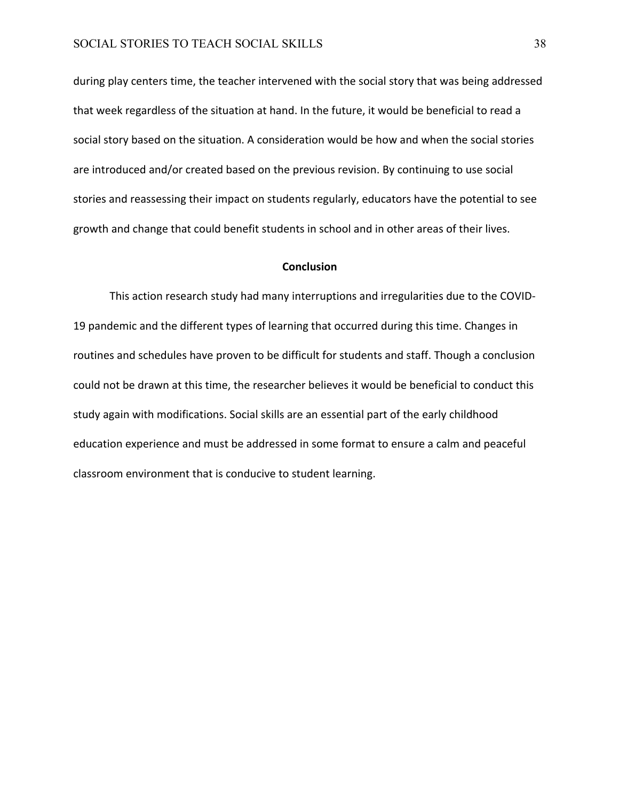during play centers time, the teacher intervened with the social story that was being addressed that week regardless of the situation at hand. In the future, it would be beneficial to read a social story based on the situation. A consideration would be how and when the social stories are introduced and/or created based on the previous revision. By continuing to use social stories and reassessing their impact on students regularly, educators have the potential to see growth and change that could benefit students in school and in other areas of their lives.

#### **Conclusion**

This action research study had many interruptions and irregularities due to the COVID-19 pandemic and the different types of learning that occurred during this time. Changes in routines and schedules have proven to be difficult for students and staff. Though a conclusion could not be drawn at this time, the researcher believes it would be beneficial to conduct this study again with modifications. Social skills are an essential part of the early childhood education experience and must be addressed in some format to ensure a calm and peaceful classroom environment that is conducive to student learning.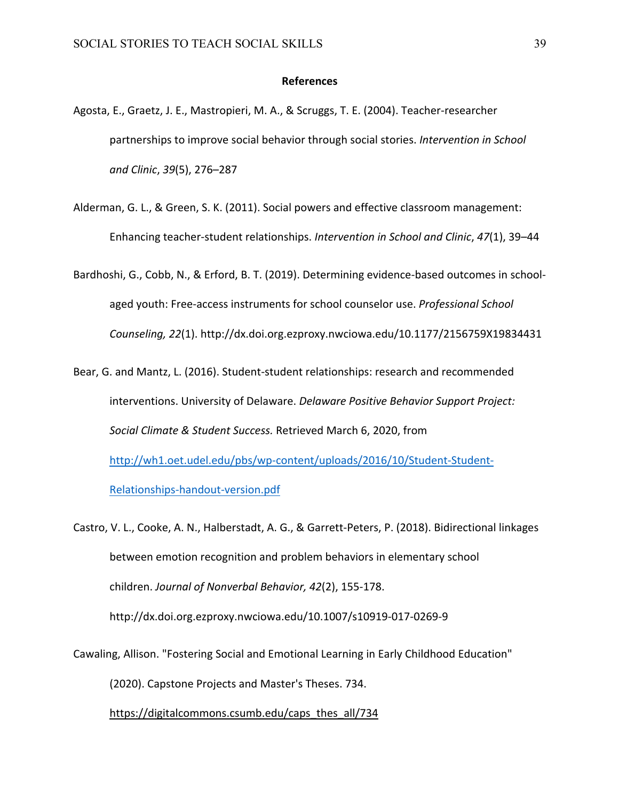#### **References**

- Agosta, E., Graetz, J. E., Mastropieri, M. A., & Scruggs, T. E. (2004). Teacher-researcher partnerships to improve social behavior through social stories. *Intervention in School and Clinic*, *39*(5), 276–287
- Alderman, G. L., & Green, S. K. (2011). Social powers and effective classroom management: Enhancing teacher-student relationships. *Intervention in School and Clinic*, *47*(1), 39–44
- Bardhoshi, G., Cobb, N., & Erford, B. T. (2019). Determining evidence-based outcomes in schoolaged youth: Free-access instruments for school counselor use. *Professional School Counseling, 22*(1). http://dx.doi.org.ezproxy.nwciowa.edu/10.1177/2156759X19834431
- Bear, G. and Mantz, L. (2016). Student-student relationships: research and recommended interventions. University of Delaware. *Delaware Positive Behavior Support Project: Social Climate & Student Success.* Retrieved March 6, 2020, from http://wh1.oet.udel.edu/pbs/wp-content/uploads/2016/10/Student-Student-Relationships-handout-version.pdf

Castro, V. L., Cooke, A. N., Halberstadt, A. G., & Garrett-Peters, P. (2018). Bidirectional linkages between emotion recognition and problem behaviors in elementary school children. *Journal of Nonverbal Behavior, 42*(2), 155-178. http://dx.doi.org.ezproxy.nwciowa.edu/10.1007/s10919-017-0269-9

Cawaling, Allison. "Fostering Social and Emotional Learning in Early Childhood Education"

(2020). Capstone Projects and Master's Theses. 734.

https://digitalcommons.csumb.edu/caps\_thes\_all/734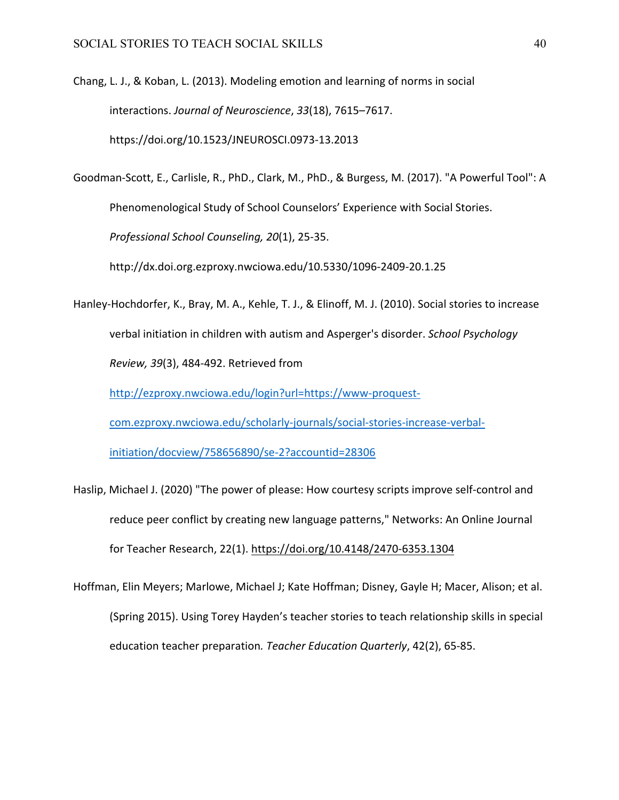Chang, L. J., & Koban, L. (2013). Modeling emotion and learning of norms in social interactions. *Journal of Neuroscience*, *33*(18), 7615–7617. https://doi.org/10.1523/JNEUROSCI.0973-13.2013

Goodman-Scott, E., Carlisle, R., PhD., Clark, M., PhD., & Burgess, M. (2017). "A Powerful Tool": A Phenomenological Study of School Counselors' Experience with Social Stories. *Professional School Counseling, 20*(1), 25-35.

http://dx.doi.org.ezproxy.nwciowa.edu/10.5330/1096-2409-20.1.25

Hanley-Hochdorfer, K., Bray, M. A., Kehle, T. J., & Elinoff, M. J. (2010). Social stories to increase verbal initiation in children with autism and Asperger's disorder. *School Psychology Review, 39*(3), 484-492. Retrieved from

http://ezproxy.nwciowa.edu/login?url=https://www-proquest-

com.ezproxy.nwciowa.edu/scholarly-journals/social-stories-increase-verbal-

initiation/docview/758656890/se-2?accountid=28306

- Haslip, Michael J. (2020) "The power of please: How courtesy scripts improve self-control and reduce peer conflict by creating new language patterns," Networks: An Online Journal for Teacher Research, 22(1). https://doi.org/10.4148/2470-6353.1304
- Hoffman, Elin Meyers; Marlowe, Michael J; Kate Hoffman; Disney, Gayle H; Macer, Alison; et al. (Spring 2015). Using Torey Hayden's teacher stories to teach relationship skills in special education teacher preparation*. Teacher Education Quarterly*, 42(2), 65-85.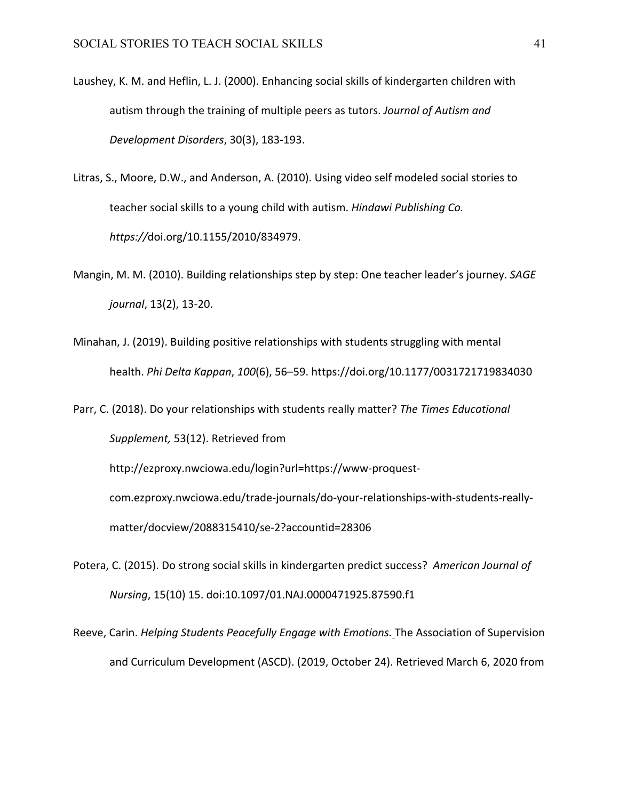- Laushey, K. M. and Heflin, L. J. (2000). Enhancing social skills of kindergarten children with autism through the training of multiple peers as tutors. *Journal of Autism and Development Disorders*, 30(3), 183-193.
- Litras, S., Moore, D.W., and Anderson, A. (2010). Using video self modeled social stories to teacher social skills to a young child with autism. *Hindawi Publishing Co. https://*doi.org/10.1155/2010/834979.
- Mangin, M. M. (2010). Building relationships step by step: One teacher leader's journey. *SAGE journal*, 13(2), 13-20.
- Minahan, J. (2019). Building positive relationships with students struggling with mental health. *Phi Delta Kappan*, *100*(6), 56–59. https://doi.org/10.1177/0031721719834030
- Parr, C. (2018). Do your relationships with students really matter? *The Times Educational Supplement,* 53(12). Retrieved from

http://ezproxy.nwciowa.edu/login?url=https://www-proquestcom.ezproxy.nwciowa.edu/trade-journals/do-your-relationships-with-students-reallymatter/docview/2088315410/se-2?accountid=28306

- Potera, C. (2015). Do strong social skills in kindergarten predict success? *American Journal of Nursing*, 15(10) 15. doi:10.1097/01.NAJ.0000471925.87590.f1
- Reeve, Carin. *Helping Students Peacefully Engage with Emotions.* The Association of Supervision and Curriculum Development (ASCD). (2019, October 24). Retrieved March 6, 2020 from